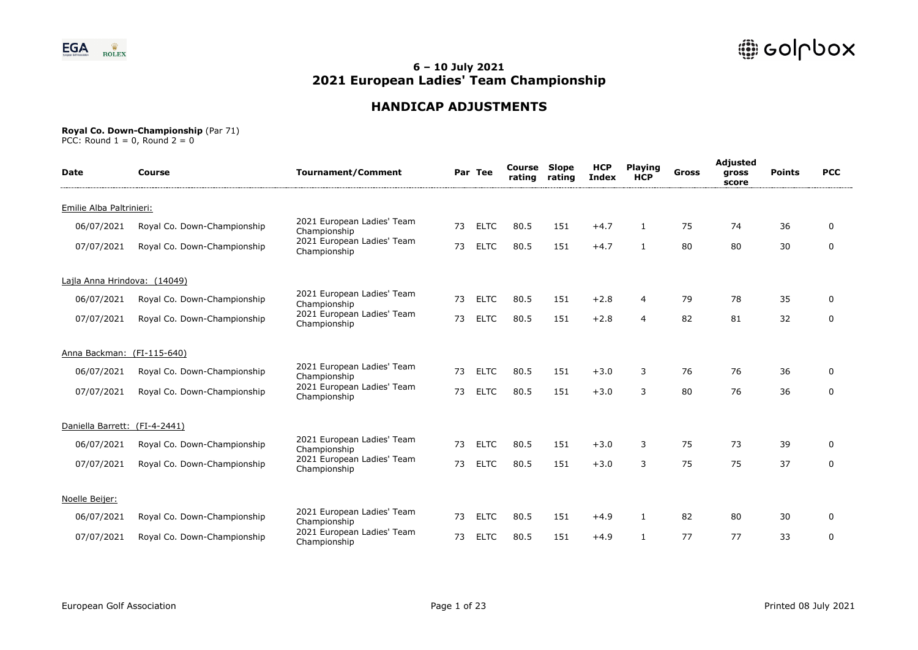

# **HANDICAP ADJUSTMENTS**

#### **Royal Co. Down-Championship** (Par 71)

| <b>Date</b>                   | Course                      | <b>Tournament/Comment</b>                  |    | Par Tee     | Course<br>rating | Slope<br>rating | <b>HCP</b><br><b>Index</b> | <b>Playing</b><br><b>HCP</b> | Gross | Adjusted<br>gross<br>score | <b>Points</b> | <b>PCC</b>  |
|-------------------------------|-----------------------------|--------------------------------------------|----|-------------|------------------|-----------------|----------------------------|------------------------------|-------|----------------------------|---------------|-------------|
| Emilie Alba Paltrinieri:      |                             |                                            |    |             |                  |                 |                            |                              |       |                            |               |             |
| 06/07/2021                    | Royal Co. Down-Championship | 2021 European Ladies' Team<br>Championship | 73 | <b>ELTC</b> | 80.5             | 151             | $+4.7$                     | $\mathbf{1}$                 | 75    | 74                         | 36            | $\Omega$    |
| 07/07/2021                    | Royal Co. Down-Championship | 2021 European Ladies' Team<br>Championship | 73 | <b>ELTC</b> | 80.5             | 151             | $+4.7$                     | $\mathbf{1}$                 | 80    | 80                         | 30            | $\mathbf 0$ |
| Lajla Anna Hrindova: (14049)  |                             |                                            |    |             |                  |                 |                            |                              |       |                            |               |             |
| 06/07/2021                    | Royal Co. Down-Championship | 2021 European Ladies' Team<br>Championship | 73 | <b>ELTC</b> | 80.5             | 151             | $+2.8$                     | 4                            | 79    | 78                         | 35            | 0           |
| 07/07/2021                    | Royal Co. Down-Championship | 2021 European Ladies' Team<br>Championship | 73 | <b>ELTC</b> | 80.5             | 151             | $+2.8$                     | 4                            | 82    | 81                         | 32            | $\mathbf 0$ |
| Anna Backman: (FI-115-640)    |                             |                                            |    |             |                  |                 |                            |                              |       |                            |               |             |
| 06/07/2021                    | Royal Co. Down-Championship | 2021 European Ladies' Team<br>Championship | 73 | <b>ELTC</b> | 80.5             | 151             | $+3.0$                     | 3                            | 76    | 76                         | 36            | $\Omega$    |
| 07/07/2021                    | Royal Co. Down-Championship | 2021 European Ladies' Team<br>Championship | 73 | <b>ELTC</b> | 80.5             | 151             | $+3.0$                     | 3                            | 80    | 76                         | 36            | 0           |
| Daniella Barrett: (FI-4-2441) |                             |                                            |    |             |                  |                 |                            |                              |       |                            |               |             |
| 06/07/2021                    | Royal Co. Down-Championship | 2021 European Ladies' Team<br>Championship | 73 | <b>ELTC</b> | 80.5             | 151             | $+3.0$                     | 3                            | 75    | 73                         | 39            | $\Omega$    |
| 07/07/2021                    | Royal Co. Down-Championship | 2021 European Ladies' Team<br>Championship | 73 | <b>ELTC</b> | 80.5             | 151             | $+3.0$                     | 3                            | 75    | 75                         | 37            | 0           |
| Noelle Beijer:                |                             |                                            |    |             |                  |                 |                            |                              |       |                            |               |             |
| 06/07/2021                    | Royal Co. Down-Championship | 2021 European Ladies' Team<br>Championship | 73 | <b>ELTC</b> | 80.5             | 151             | $+4.9$                     | 1                            | 82    | 80                         | 30            | 0           |
| 07/07/2021                    | Royal Co. Down-Championship | 2021 European Ladies' Team<br>Championship | 73 | <b>ELTC</b> | 80.5             | 151             | $+4.9$                     | 1                            | 77    | 77                         | 33            | $\mathbf 0$ |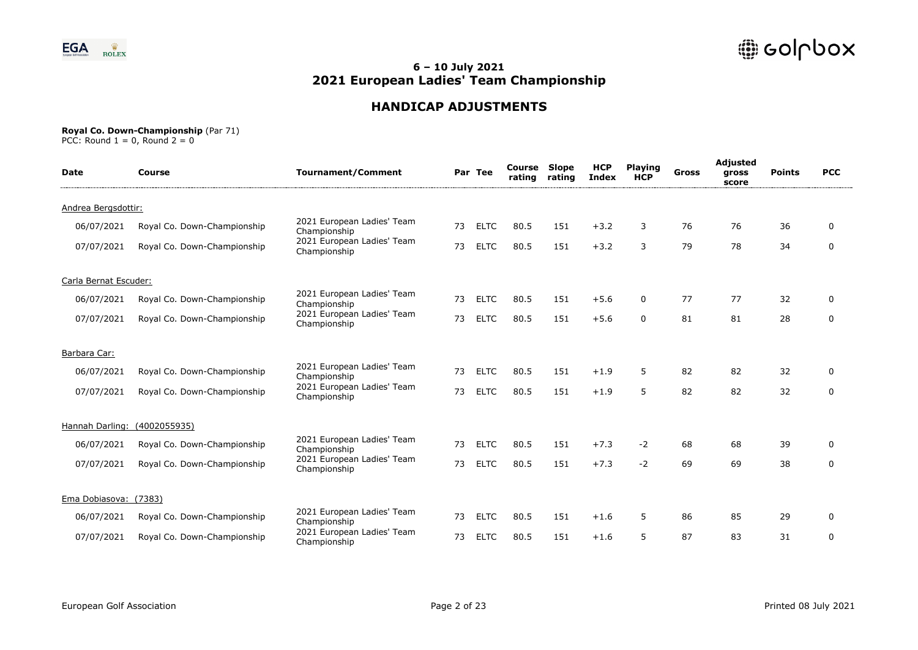

# **HANDICAP ADJUSTMENTS**

#### **Royal Co. Down-Championship** (Par 71)

| <b>Date</b>           | Course                      | <b>Tournament/Comment</b>                  |    | Par Tee     | <b>Course Slope</b><br>rating | rating | <b>HCP</b><br><b>Index</b> | <b>Playing</b><br><b>HCP</b> | <b>Gross</b> | Adjusted<br>gross<br>score | <b>Points</b> | <b>PCC</b>  |
|-----------------------|-----------------------------|--------------------------------------------|----|-------------|-------------------------------|--------|----------------------------|------------------------------|--------------|----------------------------|---------------|-------------|
| Andrea Bergsdottir:   |                             |                                            |    |             |                               |        |                            |                              |              |                            |               |             |
| 06/07/2021            | Royal Co. Down-Championship | 2021 European Ladies' Team<br>Championship | 73 | <b>ELTC</b> | 80.5                          | 151    | $+3.2$                     | 3                            | 76           | 76                         | 36            | $\Omega$    |
| 07/07/2021            | Royal Co. Down-Championship | 2021 European Ladies' Team<br>Championship | 73 | <b>ELTC</b> | 80.5                          | 151    | $+3.2$                     | 3                            | 79           | 78                         | 34            | $\mathbf 0$ |
| Carla Bernat Escuder: |                             |                                            |    |             |                               |        |                            |                              |              |                            |               |             |
| 06/07/2021            | Royal Co. Down-Championship | 2021 European Ladies' Team<br>Championship | 73 | <b>ELTC</b> | 80.5                          | 151    | $+5.6$                     | 0                            | 77           | 77                         | 32            | $\Omega$    |
| 07/07/2021            | Royal Co. Down-Championship | 2021 European Ladies' Team<br>Championship | 73 | <b>ELTC</b> | 80.5                          | 151    | $+5.6$                     | $\Omega$                     | 81           | 81                         | 28            | $\mathbf 0$ |
| Barbara Car:          |                             |                                            |    |             |                               |        |                            |                              |              |                            |               |             |
| 06/07/2021            | Royal Co. Down-Championship | 2021 European Ladies' Team<br>Championship | 73 | <b>ELTC</b> | 80.5                          | 151    | $+1.9$                     | 5                            | 82           | 82                         | 32            | $\Omega$    |
| 07/07/2021            | Royal Co. Down-Championship | 2021 European Ladies' Team<br>Championship | 73 | <b>ELTC</b> | 80.5                          | 151    | $+1.9$                     | 5                            | 82           | 82                         | 32            | $\mathbf 0$ |
| Hannah Darling:       | (4002055935)                |                                            |    |             |                               |        |                            |                              |              |                            |               |             |
| 06/07/2021            | Royal Co. Down-Championship | 2021 European Ladies' Team<br>Championship | 73 | <b>ELTC</b> | 80.5                          | 151    | $+7.3$                     | $-2$                         | 68           | 68                         | 39            | $\Omega$    |
| 07/07/2021            | Royal Co. Down-Championship | 2021 European Ladies' Team<br>Championship | 73 | <b>ELTC</b> | 80.5                          | 151    | $+7.3$                     | $-2$                         | 69           | 69                         | 38            | $\mathbf 0$ |
| Ema Dobiasova: (7383) |                             |                                            |    |             |                               |        |                            |                              |              |                            |               |             |
| 06/07/2021            | Royal Co. Down-Championship | 2021 European Ladies' Team<br>Championship | 73 | <b>ELTC</b> | 80.5                          | 151    | $+1.6$                     | 5                            | 86           | 85                         | 29            | 0           |
| 07/07/2021            | Royal Co. Down-Championship | 2021 European Ladies' Team<br>Championship | 73 | <b>ELTC</b> | 80.5                          | 151    | $+1.6$                     | 5                            | 87           | 83                         | 31            | $\mathbf 0$ |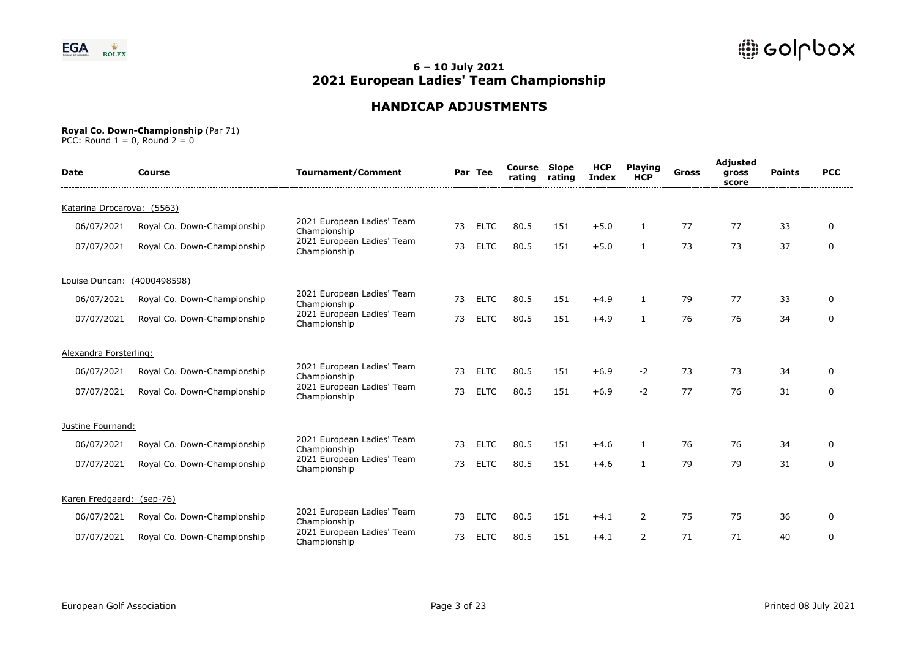

# **HANDICAP ADJUSTMENTS**

#### **Royal Co. Down-Championship** (Par 71)

| <b>Date</b>                | Course                      | <b>Tournament/Comment</b>                  |    | Par Tee     | <b>Course Slope</b><br>rating | rating | <b>HCP</b><br><b>Index</b> | <b>Playing</b><br><b>HCP</b> | Gross | Adjusted<br>gross<br>score | <b>Points</b> | <b>PCC</b>  |
|----------------------------|-----------------------------|--------------------------------------------|----|-------------|-------------------------------|--------|----------------------------|------------------------------|-------|----------------------------|---------------|-------------|
| Katarina Drocarova: (5563) |                             |                                            |    |             |                               |        |                            |                              |       |                            |               |             |
| 06/07/2021                 | Royal Co. Down-Championship | 2021 European Ladies' Team<br>Championship | 73 | <b>ELTC</b> | 80.5                          | 151    | $+5.0$                     | $\mathbf{1}$                 | 77    | 77                         | 33            | $\Omega$    |
| 07/07/2021                 | Royal Co. Down-Championship | 2021 European Ladies' Team<br>Championship | 73 | <b>ELTC</b> | 80.5                          | 151    | $+5.0$                     | 1                            | 73    | 73                         | 37            | $\mathbf 0$ |
| Louise Duncan:             | (4000498598)                |                                            |    |             |                               |        |                            |                              |       |                            |               |             |
| 06/07/2021                 | Royal Co. Down-Championship | 2021 European Ladies' Team<br>Championship | 73 | <b>ELTC</b> | 80.5                          | 151    | $+4.9$                     |                              | 79    | 77                         | 33            | 0           |
| 07/07/2021                 | Royal Co. Down-Championship | 2021 European Ladies' Team<br>Championship | 73 | <b>ELTC</b> | 80.5                          | 151    | $+4.9$                     |                              | 76    | 76                         | 34            | $\mathbf 0$ |
| Alexandra Forsterling:     |                             |                                            |    |             |                               |        |                            |                              |       |                            |               |             |
| 06/07/2021                 | Royal Co. Down-Championship | 2021 European Ladies' Team<br>Championship | 73 | <b>ELTC</b> | 80.5                          | 151    | $+6.9$                     | $-2$                         | 73    | 73                         | 34            | $\Omega$    |
| 07/07/2021                 | Royal Co. Down-Championship | 2021 European Ladies' Team<br>Championship | 73 | <b>ELTC</b> | 80.5                          | 151    | $+6.9$                     | $-2$                         | 77    | 76                         | 31            | 0           |
| Justine Fournand:          |                             |                                            |    |             |                               |        |                            |                              |       |                            |               |             |
| 06/07/2021                 | Royal Co. Down-Championship | 2021 European Ladies' Team<br>Championship | 73 | <b>ELTC</b> | 80.5                          | 151    | $+4.6$                     | 1                            | 76    | 76                         | 34            | $\Omega$    |
| 07/07/2021                 | Royal Co. Down-Championship | 2021 European Ladies' Team<br>Championship | 73 | <b>ELTC</b> | 80.5                          | 151    | $+4.6$                     |                              | 79    | 79                         | 31            | 0           |
| Karen Fredgaard: (sep-76)  |                             |                                            |    |             |                               |        |                            |                              |       |                            |               |             |
| 06/07/2021                 | Royal Co. Down-Championship | 2021 European Ladies' Team<br>Championship | 73 | <b>ELTC</b> | 80.5                          | 151    | $+4.1$                     | 2                            | 75    | 75                         | 36            | $\Omega$    |
| 07/07/2021                 | Royal Co. Down-Championship | 2021 European Ladies' Team<br>Championship | 73 | <b>ELTC</b> | 80.5                          | 151    | $+4.1$                     | 2                            | 71    | 71                         | 40            | $\mathbf 0$ |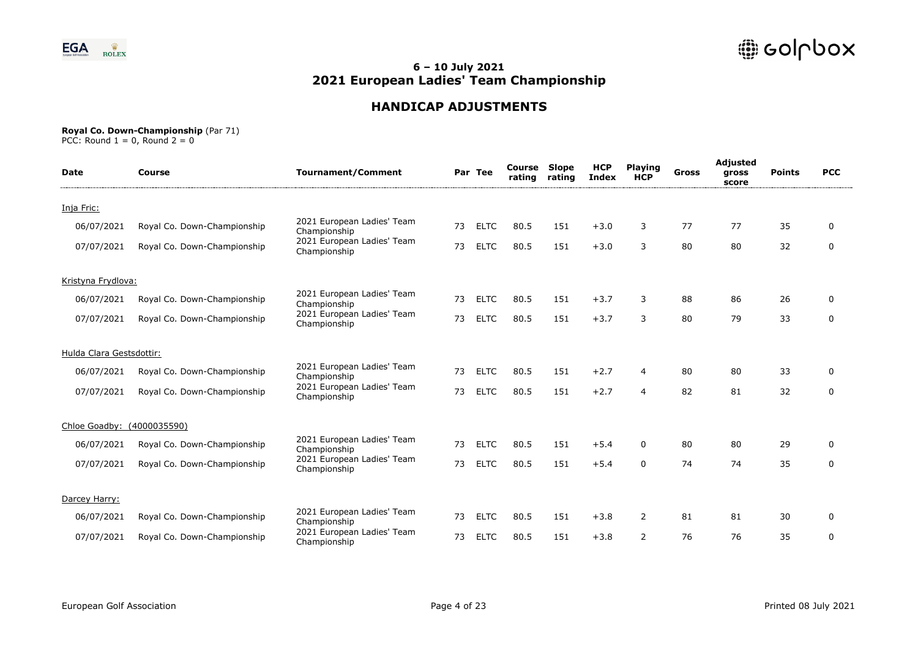

# **HANDICAP ADJUSTMENTS**

#### **Royal Co. Down-Championship** (Par 71)

| <b>Date</b>                | Course                      | <b>Tournament/Comment</b>                  |    | Par Tee     | <b>Course Slope</b><br>rating | rating | <b>HCP</b><br><b>Index</b> | <b>Playing</b><br><b>HCP</b> | <b>Gross</b> | Adjusted<br>gross<br>score | <b>Points</b> | <b>PCC</b>   |
|----------------------------|-----------------------------|--------------------------------------------|----|-------------|-------------------------------|--------|----------------------------|------------------------------|--------------|----------------------------|---------------|--------------|
| Inja Fric:                 |                             |                                            |    |             |                               |        |                            |                              |              |                            |               |              |
| 06/07/2021                 | Royal Co. Down-Championship | 2021 European Ladies' Team<br>Championship | 73 | <b>ELTC</b> | 80.5                          | 151    | $+3.0$                     | 3                            | 77           | 77                         | 35            | $\mathbf{0}$ |
| 07/07/2021                 | Royal Co. Down-Championship | 2021 European Ladies' Team<br>Championship | 73 | <b>ELTC</b> | 80.5                          | 151    | $+3.0$                     | 3                            | 80           | 80                         | 32            | $\mathbf 0$  |
| Kristyna Frydlova:         |                             |                                            |    |             |                               |        |                            |                              |              |                            |               |              |
| 06/07/2021                 | Royal Co. Down-Championship | 2021 European Ladies' Team<br>Championship | 73 | <b>ELTC</b> | 80.5                          | 151    | $+3.7$                     | 3                            | 88           | 86                         | 26            | $\Omega$     |
| 07/07/2021                 | Royal Co. Down-Championship | 2021 European Ladies' Team<br>Championship | 73 | <b>ELTC</b> | 80.5                          | 151    | $+3.7$                     | 3                            | 80           | 79                         | 33            | $\mathbf 0$  |
| Hulda Clara Gestsdottir:   |                             |                                            |    |             |                               |        |                            |                              |              |                            |               |              |
| 06/07/2021                 | Royal Co. Down-Championship | 2021 European Ladies' Team<br>Championship | 73 | <b>ELTC</b> | 80.5                          | 151    | $+2.7$                     | 4                            | 80           | 80                         | 33            | $\Omega$     |
| 07/07/2021                 | Royal Co. Down-Championship | 2021 European Ladies' Team<br>Championship | 73 | <b>ELTC</b> | 80.5                          | 151    | $+2.7$                     | 4                            | 82           | 81                         | 32            | $\mathbf 0$  |
| Chloe Goadby: (4000035590) |                             |                                            |    |             |                               |        |                            |                              |              |                            |               |              |
| 06/07/2021                 | Royal Co. Down-Championship | 2021 European Ladies' Team<br>Championship | 73 | <b>ELTC</b> | 80.5                          | 151    | $+5.4$                     | 0                            | 80           | 80                         | 29            | $\Omega$     |
| 07/07/2021                 | Royal Co. Down-Championship | 2021 European Ladies' Team<br>Championship | 73 | <b>ELTC</b> | 80.5                          | 151    | $+5.4$                     | $\Omega$                     | 74           | 74                         | 35            | $\mathbf 0$  |
| Darcey Harry:              |                             |                                            |    |             |                               |        |                            |                              |              |                            |               |              |
| 06/07/2021                 | Royal Co. Down-Championship | 2021 European Ladies' Team<br>Championship | 73 | <b>ELTC</b> | 80.5                          | 151    | $+3.8$                     | $\overline{2}$               | 81           | 81                         | 30            | 0            |
| 07/07/2021                 | Royal Co. Down-Championship | 2021 European Ladies' Team<br>Championship | 73 | <b>ELTC</b> | 80.5                          | 151    | $+3.8$                     | $\overline{2}$               | 76           | 76                         | 35            | $\mathbf 0$  |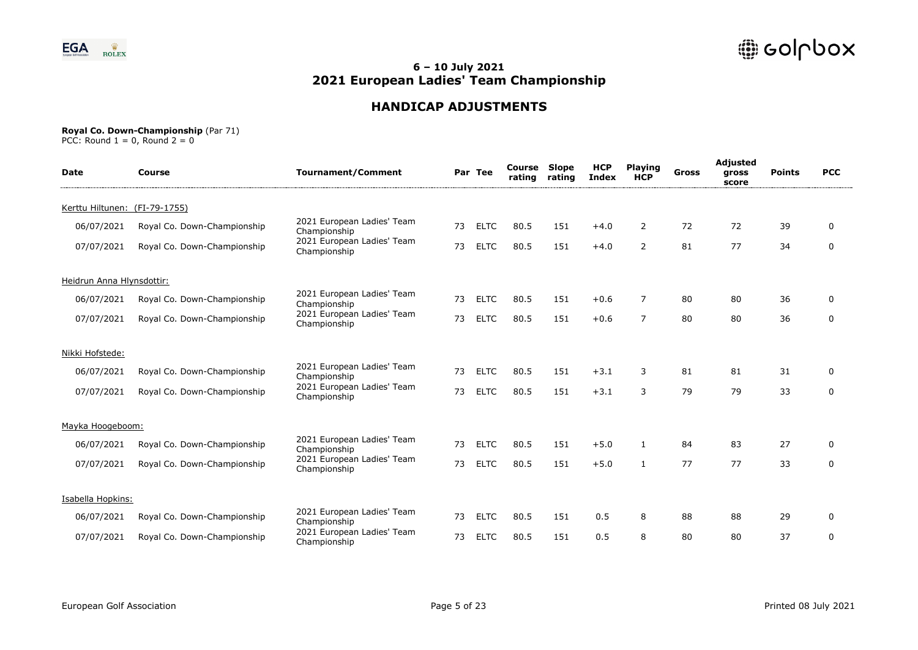

# **HANDICAP ADJUSTMENTS**

#### **Royal Co. Down-Championship** (Par 71)

| <b>Date</b>                   | Course                      | <b>Tournament/Comment</b>                  |    | Par Tee     | Course<br>rating | Slope<br>rating | <b>HCP</b><br><b>Index</b> | <b>Playing</b><br><b>HCP</b> | Gross | Adjusted<br>gross<br>score | <b>Points</b> | <b>PCC</b>   |
|-------------------------------|-----------------------------|--------------------------------------------|----|-------------|------------------|-----------------|----------------------------|------------------------------|-------|----------------------------|---------------|--------------|
| Kerttu Hiltunen: (FI-79-1755) |                             |                                            |    |             |                  |                 |                            |                              |       |                            |               |              |
| 06/07/2021                    | Royal Co. Down-Championship | 2021 European Ladies' Team<br>Championship | 73 | <b>ELTC</b> | 80.5             | 151             | $+4.0$                     | $\overline{2}$               | 72    | 72                         | 39            | $\mathbf{0}$ |
| 07/07/2021                    | Royal Co. Down-Championship | 2021 European Ladies' Team<br>Championship | 73 | <b>ELTC</b> | 80.5             | 151             | $+4.0$                     | $\overline{2}$               | 81    | 77                         | 34            | $\mathbf 0$  |
| Heidrun Anna Hlynsdottir:     |                             |                                            |    |             |                  |                 |                            |                              |       |                            |               |              |
| 06/07/2021                    | Royal Co. Down-Championship | 2021 European Ladies' Team<br>Championship | 73 | <b>ELTC</b> | 80.5             | 151             | $+0.6$                     | $\overline{7}$               | 80    | 80                         | 36            | $\mathbf 0$  |
| 07/07/2021                    | Royal Co. Down-Championship | 2021 European Ladies' Team<br>Championship | 73 | <b>ELTC</b> | 80.5             | 151             | $+0.6$                     | $\overline{7}$               | 80    | 80                         | 36            | $\mathbf 0$  |
| Nikki Hofstede:               |                             |                                            |    |             |                  |                 |                            |                              |       |                            |               |              |
| 06/07/2021                    | Royal Co. Down-Championship | 2021 European Ladies' Team<br>Championship | 73 | <b>ELTC</b> | 80.5             | 151             | $+3.1$                     | 3                            | 81    | 81                         | 31            | 0            |
| 07/07/2021                    | Royal Co. Down-Championship | 2021 European Ladies' Team<br>Championship | 73 | <b>ELTC</b> | 80.5             | 151             | $+3.1$                     | 3                            | 79    | 79                         | 33            | $\mathbf 0$  |
| Mayka Hoogeboom:              |                             |                                            |    |             |                  |                 |                            |                              |       |                            |               |              |
| 06/07/2021                    | Royal Co. Down-Championship | 2021 European Ladies' Team<br>Championship | 73 | <b>ELTC</b> | 80.5             | 151             | $+5.0$                     | 1                            | 84    | 83                         | 27            | $\mathbf 0$  |
| 07/07/2021                    | Royal Co. Down-Championship | 2021 European Ladies' Team<br>Championship | 73 | <b>ELTC</b> | 80.5             | 151             | $+5.0$                     | 1                            | 77    | 77                         | 33            | $\mathbf 0$  |
| Isabella Hopkins:             |                             |                                            |    |             |                  |                 |                            |                              |       |                            |               |              |
| 06/07/2021                    | Royal Co. Down-Championship | 2021 European Ladies' Team<br>Championship | 73 | <b>ELTC</b> | 80.5             | 151             | 0.5                        | 8                            | 88    | 88                         | 29            | 0            |
| 07/07/2021                    | Royal Co. Down-Championship | 2021 European Ladies' Team<br>Championship | 73 | <b>ELTC</b> | 80.5             | 151             | 0.5                        | 8                            | 80    | 80                         | 37            | $\mathbf 0$  |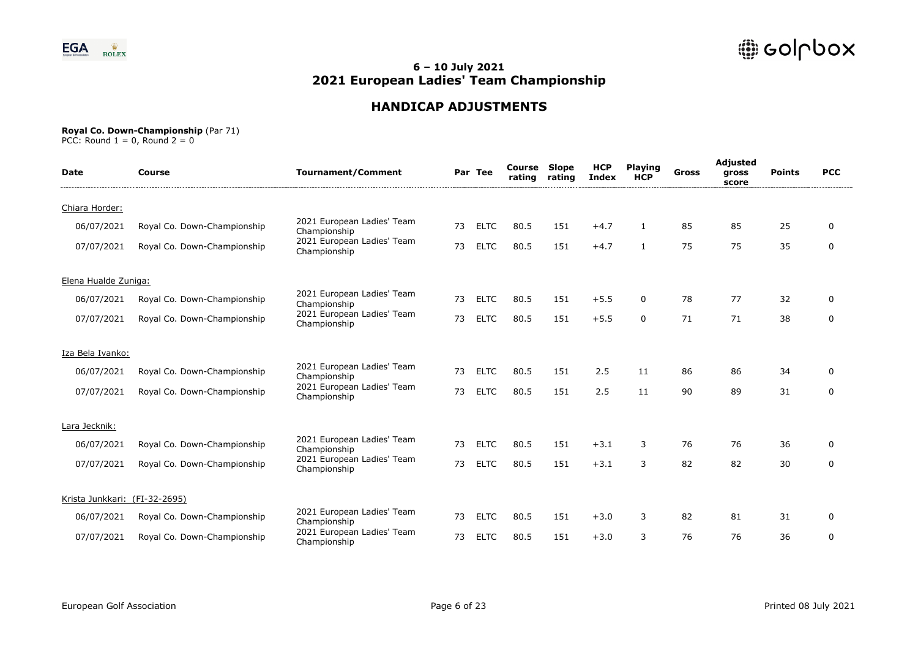

# **HANDICAP ADJUSTMENTS**

#### **Royal Co. Down-Championship** (Par 71)

| <b>Date</b>                   | Course                      | <b>Tournament/Comment</b>                  |    | Par Tee     | <b>Course Slope</b><br>rating | rating | <b>HCP</b><br><b>Index</b> | <b>Playing</b><br><b>HCP</b> | Gross | Adjusted<br>gross<br>score | <b>Points</b> | <b>PCC</b>  |
|-------------------------------|-----------------------------|--------------------------------------------|----|-------------|-------------------------------|--------|----------------------------|------------------------------|-------|----------------------------|---------------|-------------|
| Chiara Horder:                |                             |                                            |    |             |                               |        |                            |                              |       |                            |               |             |
| 06/07/2021                    | Royal Co. Down-Championship | 2021 European Ladies' Team<br>Championship | 73 | <b>ELTC</b> | 80.5                          | 151    | $+4.7$                     | $\mathbf{1}$                 | 85    | 85                         | 25            | $\Omega$    |
| 07/07/2021                    | Royal Co. Down-Championship | 2021 European Ladies' Team<br>Championship | 73 | <b>ELTC</b> | 80.5                          | 151    | $+4.7$                     | $\mathbf{1}$                 | 75    | 75                         | 35            | $\mathbf 0$ |
| Elena Hualde Zuniga:          |                             |                                            |    |             |                               |        |                            |                              |       |                            |               |             |
| 06/07/2021                    | Royal Co. Down-Championship | 2021 European Ladies' Team<br>Championship | 73 | <b>ELTC</b> | 80.5                          | 151    | $+5.5$                     | 0                            | 78    | 77                         | 32            | 0           |
| 07/07/2021                    | Royal Co. Down-Championship | 2021 European Ladies' Team<br>Championship | 73 | <b>ELTC</b> | 80.5                          | 151    | $+5.5$                     | $\Omega$                     | 71    | 71                         | 38            | $\mathbf 0$ |
| Iza Bela Ivanko:              |                             |                                            |    |             |                               |        |                            |                              |       |                            |               |             |
| 06/07/2021                    | Royal Co. Down-Championship | 2021 European Ladies' Team<br>Championship | 73 | <b>ELTC</b> | 80.5                          | 151    | 2.5                        | 11                           | 86    | 86                         | 34            | $\Omega$    |
| 07/07/2021                    | Royal Co. Down-Championship | 2021 European Ladies' Team<br>Championship | 73 | <b>ELTC</b> | 80.5                          | 151    | 2.5                        | 11                           | 90    | 89                         | 31            | 0           |
| Lara Jecknik:                 |                             |                                            |    |             |                               |        |                            |                              |       |                            |               |             |
| 06/07/2021                    | Royal Co. Down-Championship | 2021 European Ladies' Team<br>Championship | 73 | <b>ELTC</b> | 80.5                          | 151    | $+3.1$                     | 3                            | 76    | 76                         | 36            | $\Omega$    |
| 07/07/2021                    | Royal Co. Down-Championship | 2021 European Ladies' Team<br>Championship | 73 | <b>ELTC</b> | 80.5                          | 151    | $+3.1$                     | 3                            | 82    | 82                         | 30            | 0           |
| Krista Junkkari: (FI-32-2695) |                             |                                            |    |             |                               |        |                            |                              |       |                            |               |             |
| 06/07/2021                    | Royal Co. Down-Championship | 2021 European Ladies' Team<br>Championship | 73 | <b>ELTC</b> | 80.5                          | 151    | $+3.0$                     | 3                            | 82    | 81                         | 31            | $\Omega$    |
| 07/07/2021                    | Royal Co. Down-Championship | 2021 European Ladies' Team<br>Championship | 73 | <b>ELTC</b> | 80.5                          | 151    | $+3.0$                     | 3                            | 76    | 76                         | 36            | $\mathbf 0$ |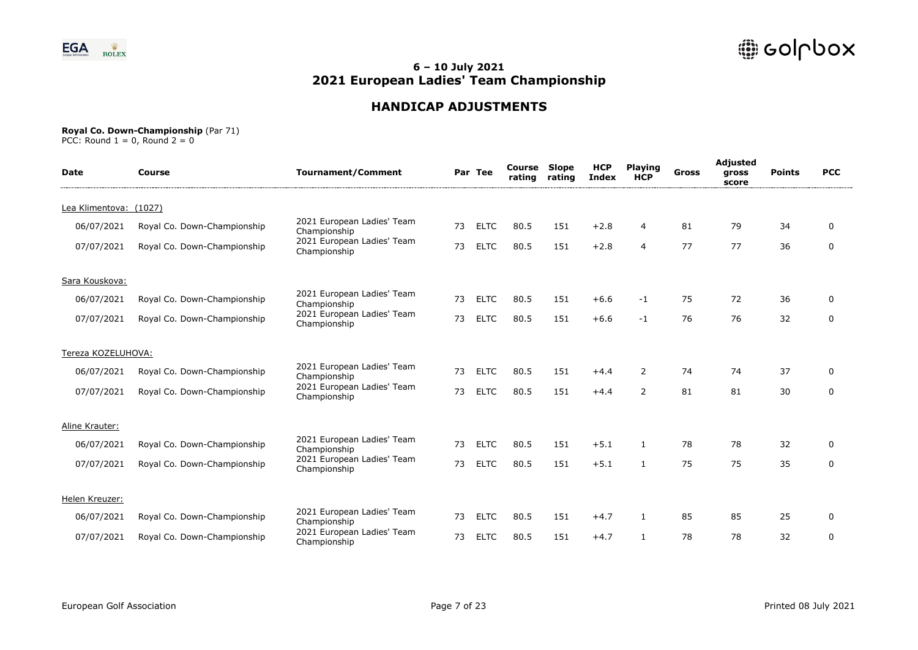

# **HANDICAP ADJUSTMENTS**

#### **Royal Co. Down-Championship** (Par 71)

| <b>Date</b>            | Course                      | <b>Tournament/Comment</b>                  |    | Par Tee     | Course<br>rating | <b>Slope</b><br>rating | <b>HCP</b><br><b>Index</b> | <b>Playing</b><br><b>HCP</b> | <b>Gross</b> | Adjusted<br>gross<br>score | <b>Points</b> | <b>PCC</b>  |
|------------------------|-----------------------------|--------------------------------------------|----|-------------|------------------|------------------------|----------------------------|------------------------------|--------------|----------------------------|---------------|-------------|
| Lea Klimentova: (1027) |                             |                                            |    |             |                  |                        |                            |                              |              |                            |               |             |
| 06/07/2021             | Royal Co. Down-Championship | 2021 European Ladies' Team<br>Championship | 73 | <b>ELTC</b> | 80.5             | 151                    | $+2.8$                     | 4                            | 81           | 79                         | 34            | $\Omega$    |
| 07/07/2021             | Royal Co. Down-Championship | 2021 European Ladies' Team<br>Championship | 73 | <b>ELTC</b> | 80.5             | 151                    | $+2.8$                     | 4                            | 77           | 77                         | 36            | $\mathbf 0$ |
| Sara Kouskova:         |                             |                                            |    |             |                  |                        |                            |                              |              |                            |               |             |
| 06/07/2021             | Royal Co. Down-Championship | 2021 European Ladies' Team<br>Championship | 73 | <b>ELTC</b> | 80.5             | 151                    | $+6.6$                     | $-1$                         | 75           | 72                         | 36            | 0           |
| 07/07/2021             | Royal Co. Down-Championship | 2021 European Ladies' Team<br>Championship | 73 | <b>ELTC</b> | 80.5             | 151                    | $+6.6$                     | $-1$                         | 76           | 76                         | 32            | $\mathbf 0$ |
| Tereza KOZELUHOVA:     |                             |                                            |    |             |                  |                        |                            |                              |              |                            |               |             |
| 06/07/2021             | Royal Co. Down-Championship | 2021 European Ladies' Team<br>Championship | 73 | <b>ELTC</b> | 80.5             | 151                    | $+4.4$                     | $\overline{2}$               | 74           | 74                         | 37            | 0           |
| 07/07/2021             | Royal Co. Down-Championship | 2021 European Ladies' Team<br>Championship | 73 | <b>ELTC</b> | 80.5             | 151                    | $+4.4$                     | $\overline{2}$               | 81           | 81                         | 30            | $\mathbf 0$ |
| Aline Krauter:         |                             |                                            |    |             |                  |                        |                            |                              |              |                            |               |             |
| 06/07/2021             | Royal Co. Down-Championship | 2021 European Ladies' Team<br>Championship | 73 | <b>ELTC</b> | 80.5             | 151                    | $+5.1$                     | 1                            | 78           | 78                         | 32            | 0           |
| 07/07/2021             | Royal Co. Down-Championship | 2021 European Ladies' Team<br>Championship | 73 | <b>ELTC</b> | 80.5             | 151                    | $+5.1$                     |                              | 75           | 75                         | 35            | $\mathbf 0$ |
| Helen Kreuzer:         |                             |                                            |    |             |                  |                        |                            |                              |              |                            |               |             |
| 06/07/2021             | Royal Co. Down-Championship | 2021 European Ladies' Team<br>Championship | 73 | <b>ELTC</b> | 80.5             | 151                    | $+4.7$                     | 1                            | 85           | 85                         | 25            | 0           |
| 07/07/2021             | Royal Co. Down-Championship | 2021 European Ladies' Team<br>Championship | 73 | <b>ELTC</b> | 80.5             | 151                    | $+4.7$                     |                              | 78           | 78                         | 32            | $\mathbf 0$ |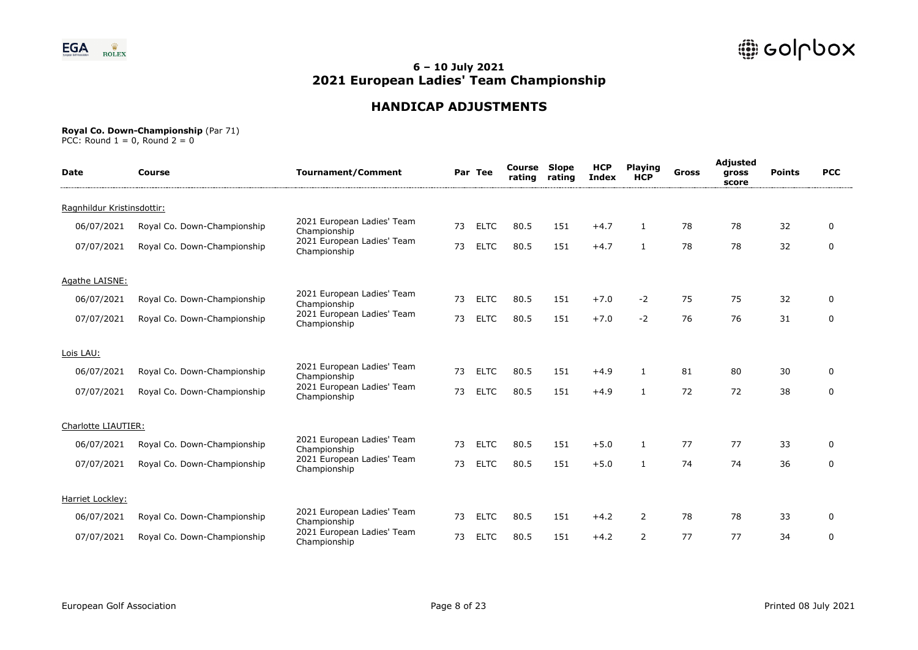

# **HANDICAP ADJUSTMENTS**

#### **Royal Co. Down-Championship** (Par 71)

| <b>Date</b>                | Course                      | <b>Tournament/Comment</b>                  |    | Par Tee     | Course<br>rating | Slope<br>rating | <b>HCP</b><br><b>Index</b> | <b>Playing</b><br><b>HCP</b> | Gross | Adjusted<br>gross<br>score | <b>Points</b> | <b>PCC</b>  |
|----------------------------|-----------------------------|--------------------------------------------|----|-------------|------------------|-----------------|----------------------------|------------------------------|-------|----------------------------|---------------|-------------|
| Ragnhildur Kristinsdottir: |                             |                                            |    |             |                  |                 |                            |                              |       |                            |               |             |
| 06/07/2021                 | Royal Co. Down-Championship | 2021 European Ladies' Team<br>Championship | 73 | <b>ELTC</b> | 80.5             | 151             | $+4.7$                     | 1                            | 78    | 78                         | 32            | 0           |
| 07/07/2021                 | Royal Co. Down-Championship | 2021 European Ladies' Team<br>Championship | 73 | <b>ELTC</b> | 80.5             | 151             | $+4.7$                     | $\mathbf{1}$                 | 78    | 78                         | 32            | $\mathbf 0$ |
| Agathe LAISNE:             |                             |                                            |    |             |                  |                 |                            |                              |       |                            |               |             |
| 06/07/2021                 | Royal Co. Down-Championship | 2021 European Ladies' Team<br>Championship | 73 | <b>ELTC</b> | 80.5             | 151             | $+7.0$                     | $-2$                         | 75    | 75                         | 32            | $\mathbf 0$ |
| 07/07/2021                 | Royal Co. Down-Championship | 2021 European Ladies' Team<br>Championship | 73 | <b>ELTC</b> | 80.5             | 151             | $+7.0$                     | $-2$                         | 76    | 76                         | 31            | $\mathbf 0$ |
| Lois LAU:                  |                             |                                            |    |             |                  |                 |                            |                              |       |                            |               |             |
| 06/07/2021                 | Royal Co. Down-Championship | 2021 European Ladies' Team<br>Championship | 73 | <b>ELTC</b> | 80.5             | 151             | $+4.9$                     | 1                            | 81    | 80                         | 30            | 0           |
| 07/07/2021                 | Royal Co. Down-Championship | 2021 European Ladies' Team<br>Championship | 73 | <b>ELTC</b> | 80.5             | 151             | $+4.9$                     | $\mathbf{1}$                 | 72    | 72                         | 38            | $\mathbf 0$ |
| Charlotte LIAUTIER:        |                             |                                            |    |             |                  |                 |                            |                              |       |                            |               |             |
| 06/07/2021                 | Royal Co. Down-Championship | 2021 European Ladies' Team<br>Championship | 73 | <b>ELTC</b> | 80.5             | 151             | $+5.0$                     | 1                            | 77    | 77                         | 33            | 0           |
| 07/07/2021                 | Royal Co. Down-Championship | 2021 European Ladies' Team<br>Championship | 73 | <b>ELTC</b> | 80.5             | 151             | $+5.0$                     | 1                            | 74    | 74                         | 36            | $\mathbf 0$ |
| Harriet Lockley:           |                             |                                            |    |             |                  |                 |                            |                              |       |                            |               |             |
| 06/07/2021                 | Royal Co. Down-Championship | 2021 European Ladies' Team<br>Championship | 73 | <b>ELTC</b> | 80.5             | 151             | $+4.2$                     | 2                            | 78    | 78                         | 33            | $\Omega$    |
| 07/07/2021                 | Royal Co. Down-Championship | 2021 European Ladies' Team<br>Championship | 73 | <b>ELTC</b> | 80.5             | 151             | $+4.2$                     | $\overline{2}$               | 77    | 77                         | 34            | $\mathbf 0$ |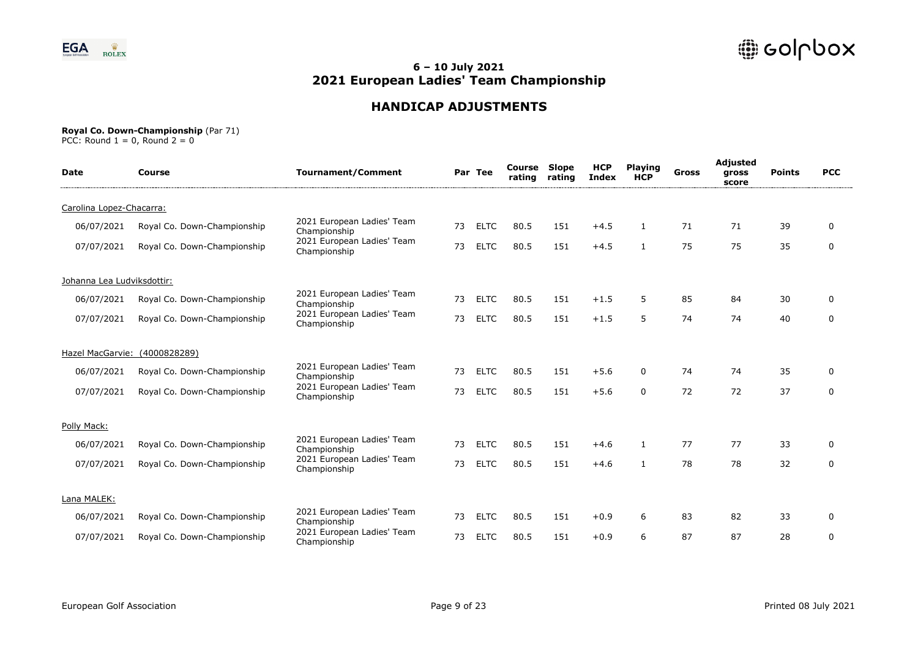

# **HANDICAP ADJUSTMENTS**

#### **Royal Co. Down-Championship** (Par 71)

| <b>Date</b>                | Course                        | <b>Tournament/Comment</b>                  |    | Par Tee     | <b>Course Slope</b><br>rating | rating | <b>HCP</b><br><b>Index</b> | <b>Playing</b><br><b>HCP</b> | Gross | Adjusted<br>gross<br>score | <b>Points</b> | <b>PCC</b>  |
|----------------------------|-------------------------------|--------------------------------------------|----|-------------|-------------------------------|--------|----------------------------|------------------------------|-------|----------------------------|---------------|-------------|
| Carolina Lopez-Chacarra:   |                               |                                            |    |             |                               |        |                            |                              |       |                            |               |             |
| 06/07/2021                 | Royal Co. Down-Championship   | 2021 European Ladies' Team<br>Championship | 73 | <b>ELTC</b> | 80.5                          | 151    | $+4.5$                     | $\mathbf{1}$                 | 71    | 71                         | 39            | $\Omega$    |
| 07/07/2021                 | Royal Co. Down-Championship   | 2021 European Ladies' Team<br>Championship | 73 | <b>ELTC</b> | 80.5                          | 151    | $+4.5$                     | 1                            | 75    | 75                         | 35            | $\mathbf 0$ |
| Johanna Lea Ludviksdottir: |                               |                                            |    |             |                               |        |                            |                              |       |                            |               |             |
| 06/07/2021                 | Royal Co. Down-Championship   | 2021 European Ladies' Team<br>Championship | 73 | <b>ELTC</b> | 80.5                          | 151    | $+1.5$                     | 5                            | 85    | 84                         | 30            | 0           |
| 07/07/2021                 | Royal Co. Down-Championship   | 2021 European Ladies' Team<br>Championship | 73 | <b>ELTC</b> | 80.5                          | 151    | $+1.5$                     | 5                            | 74    | 74                         | 40            | $\mathbf 0$ |
|                            | Hazel MacGarvie: (4000828289) |                                            |    |             |                               |        |                            |                              |       |                            |               |             |
| 06/07/2021                 | Royal Co. Down-Championship   | 2021 European Ladies' Team<br>Championship | 73 | <b>ELTC</b> | 80.5                          | 151    | $+5.6$                     | 0                            | 74    | 74                         | 35            | $\Omega$    |
| 07/07/2021                 | Royal Co. Down-Championship   | 2021 European Ladies' Team<br>Championship | 73 | <b>ELTC</b> | 80.5                          | 151    | $+5.6$                     | 0                            | 72    | 72                         | 37            | 0           |
| Polly Mack:                |                               |                                            |    |             |                               |        |                            |                              |       |                            |               |             |
| 06/07/2021                 | Royal Co. Down-Championship   | 2021 European Ladies' Team<br>Championship | 73 | <b>ELTC</b> | 80.5                          | 151    | $+4.6$                     | 1                            | 77    | 77                         | 33            | $\Omega$    |
| 07/07/2021                 | Royal Co. Down-Championship   | 2021 European Ladies' Team<br>Championship | 73 | <b>ELTC</b> | 80.5                          | 151    | $+4.6$                     |                              | 78    | 78                         | 32            | 0           |
| Lana MALEK:                |                               |                                            |    |             |                               |        |                            |                              |       |                            |               |             |
| 06/07/2021                 | Royal Co. Down-Championship   | 2021 European Ladies' Team<br>Championship | 73 | <b>ELTC</b> | 80.5                          | 151    | $+0.9$                     | 6                            | 83    | 82                         | 33            | 0           |
| 07/07/2021                 | Royal Co. Down-Championship   | 2021 European Ladies' Team<br>Championship | 73 | <b>ELTC</b> | 80.5                          | 151    | $+0.9$                     | 6                            | 87    | 87                         | 28            | $\mathbf 0$ |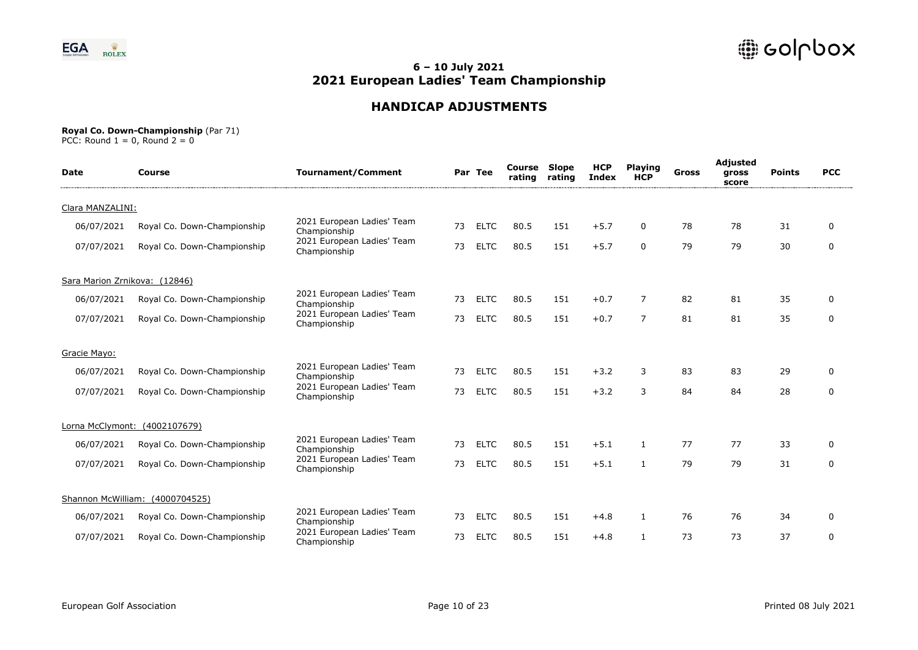

# **HANDICAP ADJUSTMENTS**

#### **Royal Co. Down-Championship** (Par 71)

| <b>Date</b>                   | Course                          | <b>Tournament/Comment</b>                  |    | Par Tee     | <b>Course Slope</b><br>rating | rating | <b>HCP</b><br><b>Index</b> | <b>Playing</b><br><b>HCP</b> | Gross | Adjusted<br>gross<br>score | <b>Points</b> | <b>PCC</b>  |
|-------------------------------|---------------------------------|--------------------------------------------|----|-------------|-------------------------------|--------|----------------------------|------------------------------|-------|----------------------------|---------------|-------------|
| Clara MANZALINI:              |                                 |                                            |    |             |                               |        |                            |                              |       |                            |               |             |
| 06/07/2021                    | Royal Co. Down-Championship     | 2021 European Ladies' Team<br>Championship | 73 | <b>ELTC</b> | 80.5                          | 151    | $+5.7$                     | 0                            | 78    | 78                         | 31            | $\Omega$    |
| 07/07/2021                    | Royal Co. Down-Championship     | 2021 European Ladies' Team<br>Championship | 73 | <b>ELTC</b> | 80.5                          | 151    | $+5.7$                     | $\mathbf{0}$                 | 79    | 79                         | 30            | $\mathbf 0$ |
| Sara Marion Zrnikova: (12846) |                                 |                                            |    |             |                               |        |                            |                              |       |                            |               |             |
| 06/07/2021                    | Royal Co. Down-Championship     | 2021 European Ladies' Team<br>Championship | 73 | <b>ELTC</b> | 80.5                          | 151    | $+0.7$                     | 7                            | 82    | 81                         | 35            | 0           |
| 07/07/2021                    | Royal Co. Down-Championship     | 2021 European Ladies' Team<br>Championship | 73 | <b>ELTC</b> | 80.5                          | 151    | $+0.7$                     | $\overline{7}$               | 81    | 81                         | 35            | $\mathbf 0$ |
| Gracie Mayo:                  |                                 |                                            |    |             |                               |        |                            |                              |       |                            |               |             |
| 06/07/2021                    | Royal Co. Down-Championship     | 2021 European Ladies' Team<br>Championship | 73 | <b>ELTC</b> | 80.5                          | 151    | $+3.2$                     | 3                            | 83    | 83                         | 29            | $\Omega$    |
| 07/07/2021                    | Royal Co. Down-Championship     | 2021 European Ladies' Team<br>Championship | 73 | <b>ELTC</b> | 80.5                          | 151    | $+3.2$                     | 3                            | 84    | 84                         | 28            | 0           |
|                               | Lorna McClymont: (4002107679)   |                                            |    |             |                               |        |                            |                              |       |                            |               |             |
| 06/07/2021                    | Royal Co. Down-Championship     | 2021 European Ladies' Team<br>Championship | 73 | <b>ELTC</b> | 80.5                          | 151    | $+5.1$                     | 1                            | 77    | 77                         | 33            | $\Omega$    |
| 07/07/2021                    | Royal Co. Down-Championship     | 2021 European Ladies' Team<br>Championship | 73 | <b>ELTC</b> | 80.5                          | 151    | $+5.1$                     |                              | 79    | 79                         | 31            | 0           |
|                               | Shannon McWilliam: (4000704525) |                                            |    |             |                               |        |                            |                              |       |                            |               |             |
| 06/07/2021                    | Royal Co. Down-Championship     | 2021 European Ladies' Team<br>Championship | 73 | <b>ELTC</b> | 80.5                          | 151    | $+4.8$                     | $\mathbf{1}$                 | 76    | 76                         | 34            | $\Omega$    |
| 07/07/2021                    | Royal Co. Down-Championship     | 2021 European Ladies' Team<br>Championship | 73 | <b>ELTC</b> | 80.5                          | 151    | $+4.8$                     |                              | 73    | 73                         | 37            | $\mathbf 0$ |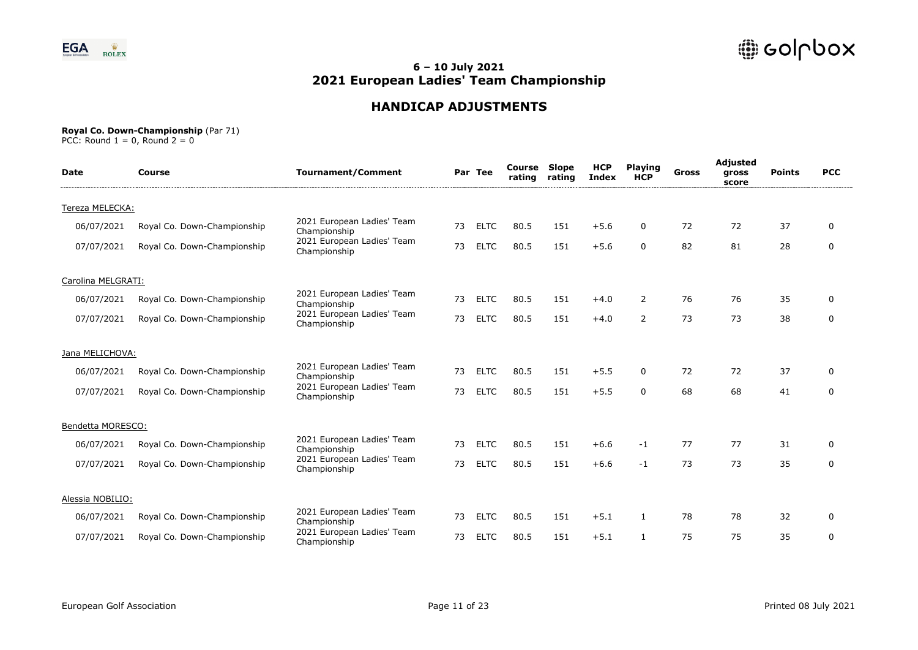

# **HANDICAP ADJUSTMENTS**

#### **Royal Co. Down-Championship** (Par 71)

| <b>Date</b>        | Course                      | <b>Tournament/Comment</b>                  |    | Par Tee     | <b>Course Slope</b><br>rating | rating | <b>HCP</b><br><b>Index</b> | <b>Playing</b><br><b>HCP</b> | <b>Gross</b> | Adjusted<br>gross<br>score | <b>Points</b> | <b>PCC</b>  |
|--------------------|-----------------------------|--------------------------------------------|----|-------------|-------------------------------|--------|----------------------------|------------------------------|--------------|----------------------------|---------------|-------------|
| Tereza MELECKA:    |                             |                                            |    |             |                               |        |                            |                              |              |                            |               |             |
| 06/07/2021         | Royal Co. Down-Championship | 2021 European Ladies' Team<br>Championship | 73 | <b>ELTC</b> | 80.5                          | 151    | $+5.6$                     | 0                            | 72           | 72                         | 37            | $\Omega$    |
| 07/07/2021         | Royal Co. Down-Championship | 2021 European Ladies' Team<br>Championship | 73 | <b>ELTC</b> | 80.5                          | 151    | $+5.6$                     | $\Omega$                     | 82           | 81                         | 28            | $\mathbf 0$ |
| Carolina MELGRATI: |                             |                                            |    |             |                               |        |                            |                              |              |                            |               |             |
| 06/07/2021         | Royal Co. Down-Championship | 2021 European Ladies' Team<br>Championship | 73 | <b>ELTC</b> | 80.5                          | 151    | $+4.0$                     | $\overline{2}$               | 76           | 76                         | 35            | $\Omega$    |
| 07/07/2021         | Royal Co. Down-Championship | 2021 European Ladies' Team<br>Championship | 73 | <b>ELTC</b> | 80.5                          | 151    | $+4.0$                     | $\overline{2}$               | 73           | 73                         | 38            | $\mathbf 0$ |
| Jana MELICHOVA:    |                             |                                            |    |             |                               |        |                            |                              |              |                            |               |             |
| 06/07/2021         | Royal Co. Down-Championship | 2021 European Ladies' Team<br>Championship | 73 | <b>ELTC</b> | 80.5                          | 151    | $+5.5$                     | 0                            | 72           | 72                         | 37            | $\Omega$    |
| 07/07/2021         | Royal Co. Down-Championship | 2021 European Ladies' Team<br>Championship | 73 | <b>ELTC</b> | 80.5                          | 151    | $+5.5$                     | $\Omega$                     | 68           | 68                         | 41            | $\mathbf 0$ |
| Bendetta MORESCO:  |                             |                                            |    |             |                               |        |                            |                              |              |                            |               |             |
| 06/07/2021         | Royal Co. Down-Championship | 2021 European Ladies' Team<br>Championship | 73 | <b>ELTC</b> | 80.5                          | 151    | $+6.6$                     | $-1$                         | 77           | 77                         | 31            | $\Omega$    |
| 07/07/2021         | Royal Co. Down-Championship | 2021 European Ladies' Team<br>Championship | 73 | <b>ELTC</b> | 80.5                          | 151    | $+6.6$                     | $-1$                         | 73           | 73                         | 35            | $\mathbf 0$ |
| Alessia NOBILIO:   |                             |                                            |    |             |                               |        |                            |                              |              |                            |               |             |
| 06/07/2021         | Royal Co. Down-Championship | 2021 European Ladies' Team<br>Championship | 73 | <b>ELTC</b> | 80.5                          | 151    | $+5.1$                     | 1                            | 78           | 78                         | 32            | 0           |
| 07/07/2021         | Royal Co. Down-Championship | 2021 European Ladies' Team<br>Championship | 73 | <b>ELTC</b> | 80.5                          | 151    | $+5.1$                     | 1                            | 75           | 75                         | 35            | $\mathbf 0$ |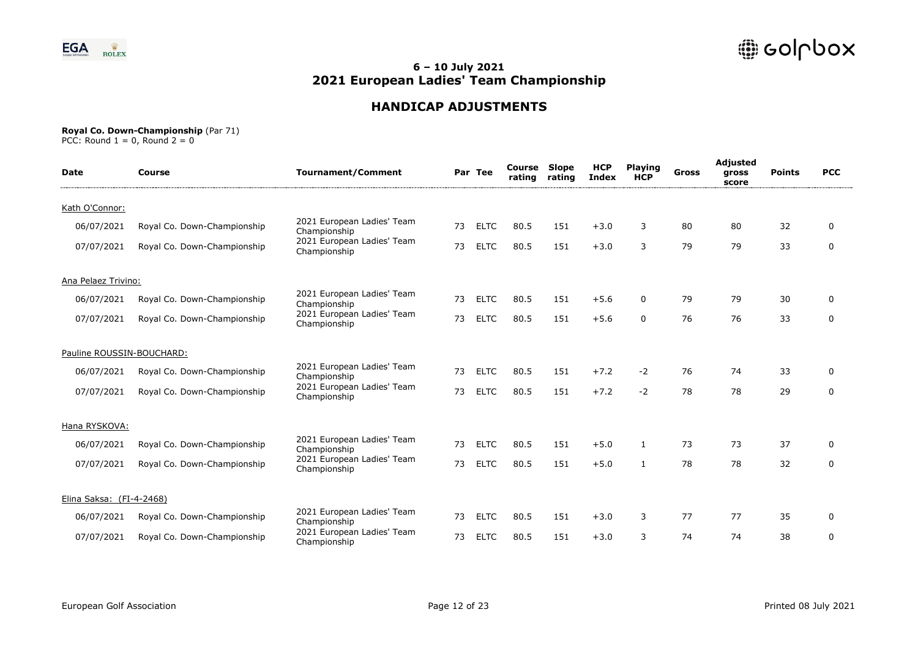

# **HANDICAP ADJUSTMENTS**

#### **Royal Co. Down-Championship** (Par 71)

| <b>Date</b>               | Course                      | <b>Tournament/Comment</b>                  |    | Par Tee     | <b>Course Slope</b><br>rating | rating | <b>HCP</b><br><b>Index</b> | <b>Playing</b><br><b>HCP</b> | Gross | Adjusted<br>gross<br>score | <b>Points</b> | <b>PCC</b>  |
|---------------------------|-----------------------------|--------------------------------------------|----|-------------|-------------------------------|--------|----------------------------|------------------------------|-------|----------------------------|---------------|-------------|
| Kath O'Connor:            |                             |                                            |    |             |                               |        |                            |                              |       |                            |               |             |
| 06/07/2021                | Royal Co. Down-Championship | 2021 European Ladies' Team<br>Championship | 73 | <b>ELTC</b> | 80.5                          | 151    | $+3.0$                     | 3                            | 80    | 80                         | 32            | $\Omega$    |
| 07/07/2021                | Royal Co. Down-Championship | 2021 European Ladies' Team<br>Championship | 73 | <b>ELTC</b> | 80.5                          | 151    | $+3.0$                     | 3                            | 79    | 79                         | 33            | $\mathbf 0$ |
| Ana Pelaez Trivino:       |                             |                                            |    |             |                               |        |                            |                              |       |                            |               |             |
| 06/07/2021                | Royal Co. Down-Championship | 2021 European Ladies' Team<br>Championship | 73 | <b>ELTC</b> | 80.5                          | 151    | $+5.6$                     | 0                            | 79    | 79                         | 30            | 0           |
| 07/07/2021                | Royal Co. Down-Championship | 2021 European Ladies' Team<br>Championship | 73 | <b>ELTC</b> | 80.5                          | 151    | $+5.6$                     | $\mathbf{0}$                 | 76    | 76                         | 33            | $\mathbf 0$ |
| Pauline ROUSSIN-BOUCHARD: |                             |                                            |    |             |                               |        |                            |                              |       |                            |               |             |
| 06/07/2021                | Royal Co. Down-Championship | 2021 European Ladies' Team<br>Championship | 73 | <b>ELTC</b> | 80.5                          | 151    | $+7.2$                     | $-2$                         | 76    | 74                         | 33            | $\Omega$    |
| 07/07/2021                | Royal Co. Down-Championship | 2021 European Ladies' Team<br>Championship | 73 | <b>ELTC</b> | 80.5                          | 151    | $+7.2$                     | $-2$                         | 78    | 78                         | 29            | 0           |
| Hana RYSKOVA:             |                             |                                            |    |             |                               |        |                            |                              |       |                            |               |             |
| 06/07/2021                | Royal Co. Down-Championship | 2021 European Ladies' Team<br>Championship | 73 | <b>ELTC</b> | 80.5                          | 151    | $+5.0$                     | 1                            | 73    | 73                         | 37            | $\Omega$    |
| 07/07/2021                | Royal Co. Down-Championship | 2021 European Ladies' Team<br>Championship | 73 | <b>ELTC</b> | 80.5                          | 151    | $+5.0$                     |                              | 78    | 78                         | 32            | 0           |
| Elina Saksa: (FI-4-2468)  |                             |                                            |    |             |                               |        |                            |                              |       |                            |               |             |
| 06/07/2021                | Royal Co. Down-Championship | 2021 European Ladies' Team<br>Championship | 73 | <b>ELTC</b> | 80.5                          | 151    | $+3.0$                     | 3                            | 77    | 77                         | 35            | 0           |
| 07/07/2021                | Royal Co. Down-Championship | 2021 European Ladies' Team<br>Championship | 73 | <b>ELTC</b> | 80.5                          | 151    | $+3.0$                     | 3                            | 74    | 74                         | 38            | $\mathbf 0$ |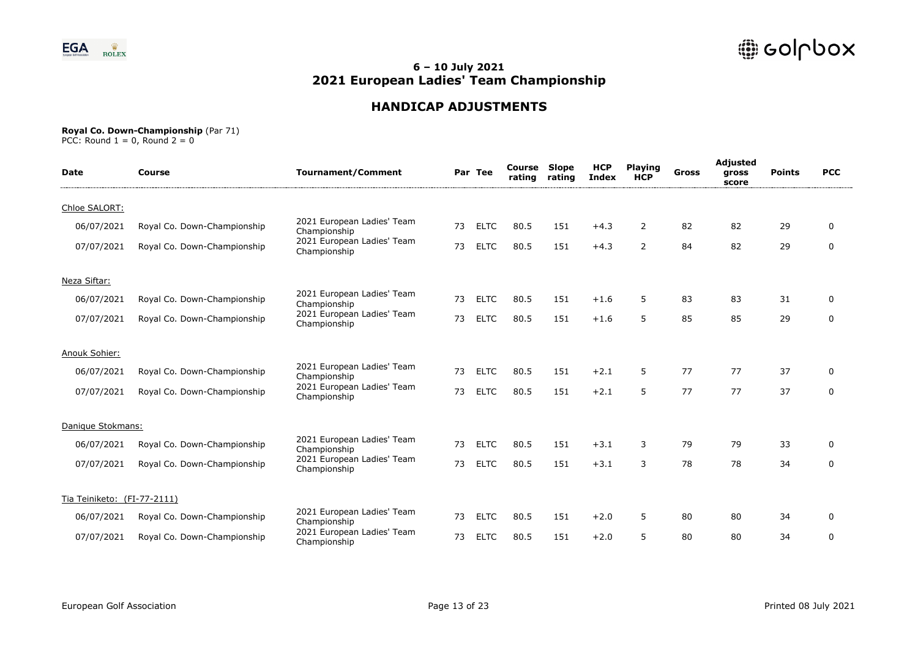

# **HANDICAP ADJUSTMENTS**

#### **Royal Co. Down-Championship** (Par 71)

| <b>Date</b>                 | Course                      | <b>Tournament/Comment</b>                  |    | Par Tee     | <b>Course Slope</b><br>rating | rating | <b>HCP</b><br><b>Index</b> | <b>Playing</b><br><b>HCP</b> | Gross | Adjusted<br>gross<br>score | <b>Points</b> | <b>PCC</b>  |  |
|-----------------------------|-----------------------------|--------------------------------------------|----|-------------|-------------------------------|--------|----------------------------|------------------------------|-------|----------------------------|---------------|-------------|--|
| Chloe SALORT:               |                             |                                            |    |             |                               |        |                            |                              |       |                            |               |             |  |
| 06/07/2021                  | Royal Co. Down-Championship | 2021 European Ladies' Team<br>Championship | 73 | <b>ELTC</b> | 80.5                          | 151    | $+4.3$                     | 2                            | 82    | 82                         | 29            | $\Omega$    |  |
| 07/07/2021                  | Royal Co. Down-Championship | 2021 European Ladies' Team<br>Championship | 73 | <b>ELTC</b> | 80.5                          | 151    | $+4.3$                     | $\overline{2}$               | 84    | 82                         | 29            | $\mathbf 0$ |  |
| Neza Siftar:                |                             |                                            |    |             |                               |        |                            |                              |       |                            |               |             |  |
| 06/07/2021                  | Royal Co. Down-Championship | 2021 European Ladies' Team<br>Championship | 73 | <b>ELTC</b> | 80.5                          | 151    | $+1.6$                     | 5                            | 83    | 83                         | 31            | 0           |  |
| 07/07/2021                  | Royal Co. Down-Championship | 2021 European Ladies' Team<br>Championship | 73 | <b>ELTC</b> | 80.5                          | 151    | $+1.6$                     | 5                            | 85    | 85                         | 29            | $\mathbf 0$ |  |
| Anouk Sohier:               |                             |                                            |    |             |                               |        |                            |                              |       |                            |               |             |  |
| 06/07/2021                  | Royal Co. Down-Championship | 2021 European Ladies' Team<br>Championship | 73 | <b>ELTC</b> | 80.5                          | 151    | $+2.1$                     | 5                            | 77    | 77                         | 37            | $\Omega$    |  |
| 07/07/2021                  | Royal Co. Down-Championship | 2021 European Ladies' Team<br>Championship | 73 | <b>ELTC</b> | 80.5                          | 151    | $+2.1$                     | 5                            | 77    | 77                         | 37            | 0           |  |
| Danique Stokmans:           |                             |                                            |    |             |                               |        |                            |                              |       |                            |               |             |  |
| 06/07/2021                  | Royal Co. Down-Championship | 2021 European Ladies' Team<br>Championship | 73 | <b>ELTC</b> | 80.5                          | 151    | $+3.1$                     | 3                            | 79    | 79                         | 33            | $\Omega$    |  |
| 07/07/2021                  | Royal Co. Down-Championship | 2021 European Ladies' Team<br>Championship | 73 | <b>ELTC</b> | 80.5                          | 151    | $+3.1$                     | 3                            | 78    | 78                         | 34            | 0           |  |
| Tia Teiniketo: (FI-77-2111) |                             |                                            |    |             |                               |        |                            |                              |       |                            |               |             |  |
| 06/07/2021                  | Royal Co. Down-Championship | 2021 European Ladies' Team<br>Championship | 73 | <b>ELTC</b> | 80.5                          | 151    | $+2.0$                     | 5                            | 80    | 80                         | 34            | $\Omega$    |  |
| 07/07/2021                  | Royal Co. Down-Championship | 2021 European Ladies' Team<br>Championship | 73 | <b>ELTC</b> | 80.5                          | 151    | $+2.0$                     | 5                            | 80    | 80                         | 34            | $\mathbf 0$ |  |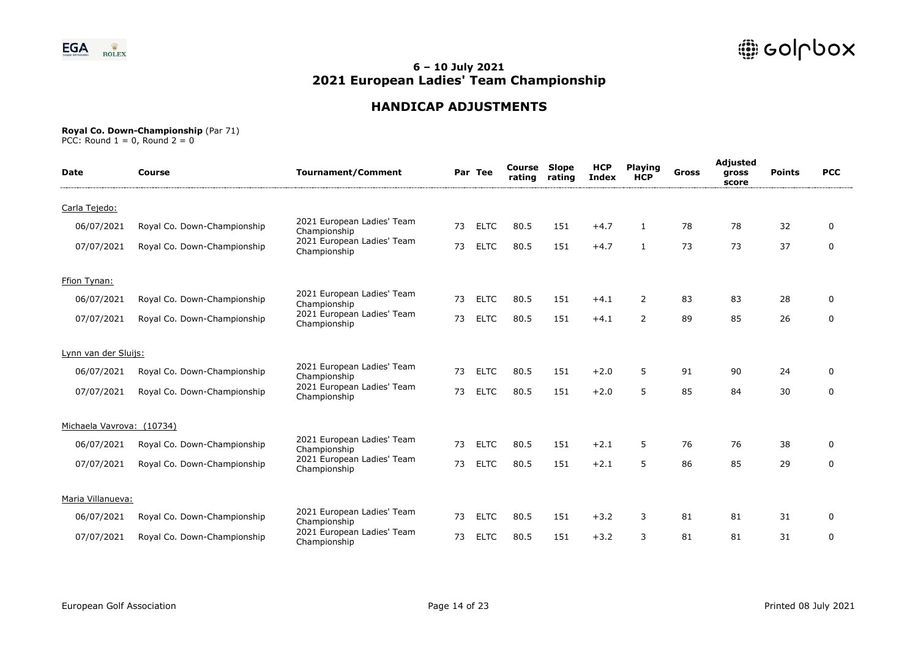

# **HANDICAP ADJUSTMENTS**

#### **Royal Co. Down-Championship** (Par 71)

| <b>Date</b>               | Course                      | <b>Tournament/Comment</b>                  |    | Par Tee     | <b>Course Slope</b><br>rating | rating | <b>HCP</b><br><b>Index</b> | <b>Playing</b><br><b>HCP</b> | <b>Gross</b> | Adjusted<br>gross<br>score | <b>Points</b> | <b>PCC</b>  |
|---------------------------|-----------------------------|--------------------------------------------|----|-------------|-------------------------------|--------|----------------------------|------------------------------|--------------|----------------------------|---------------|-------------|
| Carla Tejedo:             |                             |                                            |    |             |                               |        |                            |                              |              |                            |               |             |
| 06/07/2021                | Royal Co. Down-Championship | 2021 European Ladies' Team<br>Championship | 73 | <b>ELTC</b> | 80.5                          | 151    | $+4.7$                     | $\mathbf{1}$                 | 78           | 78                         | 32            | $\Omega$    |
| 07/07/2021                | Royal Co. Down-Championship | 2021 European Ladies' Team<br>Championship | 73 | <b>ELTC</b> | 80.5                          | 151    | $+4.7$                     | 1                            | 73           | 73                         | 37            | $\mathbf 0$ |
| Ffion Tynan:              |                             |                                            |    |             |                               |        |                            |                              |              |                            |               |             |
| 06/07/2021                | Royal Co. Down-Championship | 2021 European Ladies' Team<br>Championship | 73 | <b>ELTC</b> | 80.5                          | 151    | $+4.1$                     | $\overline{2}$               | 83           | 83                         | 28            | $\Omega$    |
| 07/07/2021                | Royal Co. Down-Championship | 2021 European Ladies' Team<br>Championship | 73 | <b>ELTC</b> | 80.5                          | 151    | $+4.1$                     | $\overline{2}$               | 89           | 85                         | 26            | $\mathbf 0$ |
| Lynn van der Sluijs:      |                             |                                            |    |             |                               |        |                            |                              |              |                            |               |             |
| 06/07/2021                | Royal Co. Down-Championship | 2021 European Ladies' Team<br>Championship | 73 | <b>ELTC</b> | 80.5                          | 151    | $+2.0$                     | 5                            | 91           | 90                         | 24            | $\Omega$    |
| 07/07/2021                | Royal Co. Down-Championship | 2021 European Ladies' Team<br>Championship | 73 | <b>ELTC</b> | 80.5                          | 151    | $+2.0$                     | 5                            | 85           | 84                         | 30            | $\mathbf 0$ |
| Michaela Vavrova: (10734) |                             |                                            |    |             |                               |        |                            |                              |              |                            |               |             |
| 06/07/2021                | Royal Co. Down-Championship | 2021 European Ladies' Team<br>Championship | 73 | <b>ELTC</b> | 80.5                          | 151    | $+2.1$                     | 5                            | 76           | 76                         | 38            | $\Omega$    |
| 07/07/2021                | Royal Co. Down-Championship | 2021 European Ladies' Team<br>Championship | 73 | <b>ELTC</b> | 80.5                          | 151    | $+2.1$                     | 5                            | 86           | 85                         | 29            | $\mathbf 0$ |
| Maria Villanueva:         |                             |                                            |    |             |                               |        |                            |                              |              |                            |               |             |
| 06/07/2021                | Royal Co. Down-Championship | 2021 European Ladies' Team<br>Championship | 73 | <b>ELTC</b> | 80.5                          | 151    | $+3.2$                     | 3                            | 81           | 81                         | 31            | 0           |
| 07/07/2021                | Royal Co. Down-Championship | 2021 European Ladies' Team<br>Championship | 73 | <b>ELTC</b> | 80.5                          | 151    | $+3.2$                     | 3                            | 81           | 81                         | 31            | $\mathbf 0$ |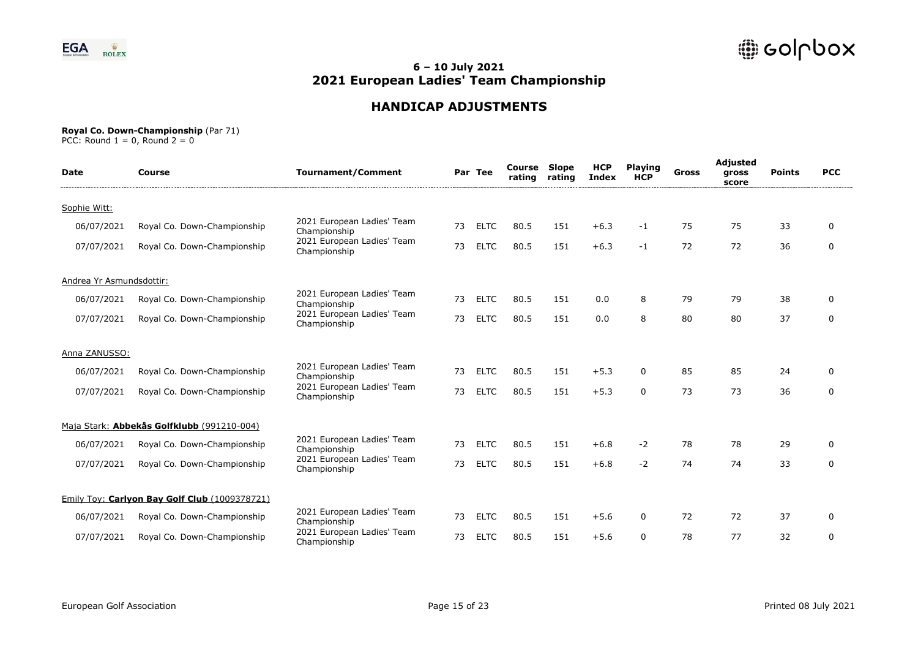

# **HANDICAP ADJUSTMENTS**

#### **Royal Co. Down-Championship** (Par 71)

| <b>Date</b>              | Course                                        | <b>Tournament/Comment</b>                  |    | Par Tee     | Course<br>rating | <b>Slope</b><br>rating | <b>HCP</b><br><b>Index</b> | <b>Playing</b><br><b>HCP</b> | <b>Gross</b> | Adjusted<br>gross<br>score | <b>Points</b> | <b>PCC</b>  |
|--------------------------|-----------------------------------------------|--------------------------------------------|----|-------------|------------------|------------------------|----------------------------|------------------------------|--------------|----------------------------|---------------|-------------|
| Sophie Witt:             |                                               |                                            |    |             |                  |                        |                            |                              |              |                            |               |             |
| 06/07/2021               | Royal Co. Down-Championship                   | 2021 European Ladies' Team<br>Championship | 73 | <b>ELTC</b> | 80.5             | 151                    | $+6.3$                     | $-1$                         | 75           | 75                         | 33            | $\Omega$    |
| 07/07/2021               | Royal Co. Down-Championship                   | 2021 European Ladies' Team<br>Championship | 73 | <b>ELTC</b> | 80.5             | 151                    | $+6.3$                     | $-1$                         | 72           | 72                         | 36            | $\mathbf 0$ |
| Andrea Yr Asmundsdottir: |                                               |                                            |    |             |                  |                        |                            |                              |              |                            |               |             |
| 06/07/2021               | Royal Co. Down-Championship                   | 2021 European Ladies' Team<br>Championship | 73 | <b>ELTC</b> | 80.5             | 151                    | 0.0                        | 8                            | 79           | 79                         | 38            | $\Omega$    |
| 07/07/2021               | Royal Co. Down-Championship                   | 2021 European Ladies' Team<br>Championship | 73 | <b>ELTC</b> | 80.5             | 151                    | 0.0                        | 8                            | 80           | 80                         | 37            | $\mathbf 0$ |
| Anna ZANUSSO:            |                                               |                                            |    |             |                  |                        |                            |                              |              |                            |               |             |
| 06/07/2021               | Royal Co. Down-Championship                   | 2021 European Ladies' Team<br>Championship | 73 | <b>ELTC</b> | 80.5             | 151                    | $+5.3$                     | 0                            | 85           | 85                         | 24            | $\Omega$    |
| 07/07/2021               | Royal Co. Down-Championship                   | 2021 European Ladies' Team<br>Championship | 73 | <b>ELTC</b> | 80.5             | 151                    | $+5.3$                     | $\Omega$                     | 73           | 73                         | 36            | $\mathbf 0$ |
|                          | Maja Stark: Abbekås Golfklubb (991210-004)    |                                            |    |             |                  |                        |                            |                              |              |                            |               |             |
| 06/07/2021               | Royal Co. Down-Championship                   | 2021 European Ladies' Team<br>Championship | 73 | <b>ELTC</b> | 80.5             | 151                    | $+6.8$                     | $-2$                         | 78           | 78                         | 29            | $\Omega$    |
| 07/07/2021               | Royal Co. Down-Championship                   | 2021 European Ladies' Team<br>Championship | 73 | <b>ELTC</b> | 80.5             | 151                    | $+6.8$                     | $-2$                         | 74           | 74                         | 33            | $\mathbf 0$ |
|                          | Emily Toy: Carlyon Bay Golf Club (1009378721) |                                            |    |             |                  |                        |                            |                              |              |                            |               |             |
| 06/07/2021               | Royal Co. Down-Championship                   | 2021 European Ladies' Team<br>Championship | 73 | <b>ELTC</b> | 80.5             | 151                    | $+5.6$                     | 0                            | 72           | 72                         | 37            | 0           |
| 07/07/2021               | Royal Co. Down-Championship                   | 2021 European Ladies' Team<br>Championship | 73 | <b>ELTC</b> | 80.5             | 151                    | $+5.6$                     | 0                            | 78           | 77                         | 32            | $\mathbf 0$ |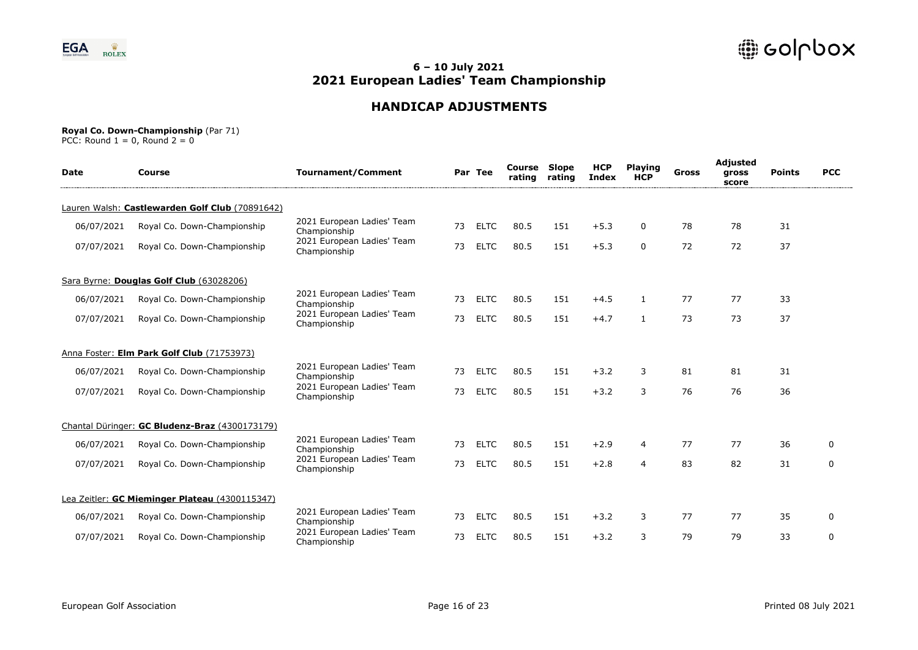

# **HANDICAP ADJUSTMENTS**

#### **Royal Co. Down-Championship** (Par 71)

| <b>Date</b> | Course                                          | <b>Tournament/Comment</b>                  |    | Par Tee     | Course<br>rating | <b>Slope</b><br>rating | <b>HCP</b><br><b>Index</b> | <b>Playing</b><br><b>HCP</b> | Gross | Adjusted<br>gross<br>score | <b>Points</b> | <b>PCC</b> |
|-------------|-------------------------------------------------|--------------------------------------------|----|-------------|------------------|------------------------|----------------------------|------------------------------|-------|----------------------------|---------------|------------|
|             | Lauren Walsh: Castlewarden Golf Club (70891642) |                                            |    |             |                  |                        |                            |                              |       |                            |               |            |
| 06/07/2021  | Royal Co. Down-Championship                     | 2021 European Ladies' Team<br>Championship | 73 | <b>ELTC</b> | 80.5             | 151                    | $+5.3$                     | 0                            | 78    | 78                         | 31            |            |
| 07/07/2021  | Royal Co. Down-Championship                     | 2021 European Ladies' Team<br>Championship | 73 | <b>ELTC</b> | 80.5             | 151                    | $+5.3$                     | $\mathbf{0}$                 | 72    | 72                         | 37            |            |
|             | Sara Byrne: Douglas Golf Club (63028206)        |                                            |    |             |                  |                        |                            |                              |       |                            |               |            |
| 06/07/2021  | Royal Co. Down-Championship                     | 2021 European Ladies' Team<br>Championship | 73 | <b>ELTC</b> | 80.5             | 151                    | $+4.5$                     |                              | 77    | 77                         | 33            |            |
| 07/07/2021  | Royal Co. Down-Championship                     | 2021 European Ladies' Team<br>Championship | 73 | <b>ELTC</b> | 80.5             | 151                    | $+4.7$                     | 1                            | 73    | 73                         | 37            |            |
|             | Anna Foster: Elm Park Golf Club (71753973)      |                                            |    |             |                  |                        |                            |                              |       |                            |               |            |
| 06/07/2021  | Royal Co. Down-Championship                     | 2021 European Ladies' Team<br>Championship | 73 | <b>ELTC</b> | 80.5             | 151                    | $+3.2$                     | 3                            | 81    | 81                         | 31            |            |
| 07/07/2021  | Royal Co. Down-Championship                     | 2021 European Ladies' Team<br>Championship | 73 | <b>ELTC</b> | 80.5             | 151                    | $+3.2$                     | 3                            | 76    | 76                         | 36            |            |
|             | Chantal Düringer: GC Bludenz-Braz (4300173179)  |                                            |    |             |                  |                        |                            |                              |       |                            |               |            |
| 06/07/2021  | Royal Co. Down-Championship                     | 2021 European Ladies' Team<br>Championship | 73 | <b>ELTC</b> | 80.5             | 151                    | $+2.9$                     | 4                            | 77    | 77                         | 36            | $\Omega$   |
| 07/07/2021  | Royal Co. Down-Championship                     | 2021 European Ladies' Team<br>Championship | 73 | <b>ELTC</b> | 80.5             | 151                    | $+2.8$                     | 4                            | 83    | 82                         | 31            | 0          |
|             | Lea Zeitler: GC Mieminger Plateau (4300115347)  |                                            |    |             |                  |                        |                            |                              |       |                            |               |            |
| 06/07/2021  | Royal Co. Down-Championship                     | 2021 European Ladies' Team<br>Championship | 73 | <b>ELTC</b> | 80.5             | 151                    | $+3.2$                     | 3                            | 77    | 77                         | 35            | 0          |
| 07/07/2021  | Royal Co. Down-Championship                     | 2021 European Ladies' Team<br>Championship | 73 | <b>ELTC</b> | 80.5             | 151                    | $+3.2$                     | 3                            | 79    | 79                         | 33            | 0          |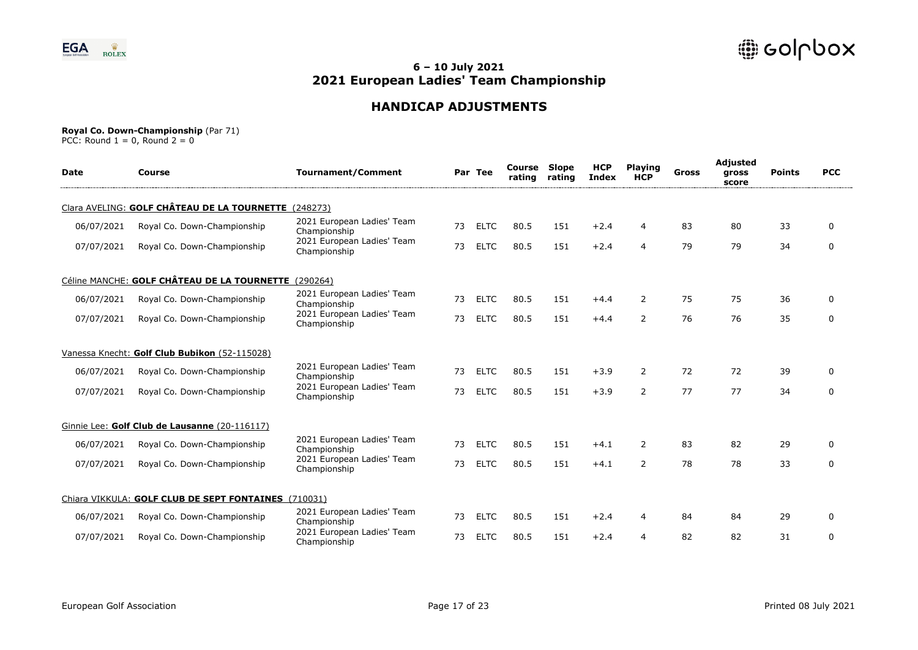

## **HANDICAP ADJUSTMENTS**

#### **Royal Co. Down-Championship** (Par 71)

| <b>Date</b> | Course                                               | <b>Tournament/Comment</b>                  |    | Par Tee     | Course<br>rating | <b>Slope</b><br>rating | <b>HCP</b><br><b>Index</b> | <b>Playing</b><br><b>HCP</b> | Gross | Adjusted<br>gross<br>score | <b>Points</b> | <b>PCC</b>   |
|-------------|------------------------------------------------------|--------------------------------------------|----|-------------|------------------|------------------------|----------------------------|------------------------------|-------|----------------------------|---------------|--------------|
|             | Clara AVELING: GOLF CHÂTEAU DE LA TOURNETTE (248273) |                                            |    |             |                  |                        |                            |                              |       |                            |               |              |
| 06/07/2021  | Royal Co. Down-Championship                          | 2021 European Ladies' Team<br>Championship | 73 | <b>ELTC</b> | 80.5             | 151                    | $+2.4$                     | 4                            | 83    | 80                         | 33            | 0            |
| 07/07/2021  | Royal Co. Down-Championship                          | 2021 European Ladies' Team<br>Championship | 73 | <b>ELTC</b> | 80.5             | 151                    | $+2.4$                     | 4                            | 79    | 79                         | 34            | $\mathbf 0$  |
|             | Céline MANCHE: GOLF CHÂTEAU DE LA TOURNETTE (290264) |                                            |    |             |                  |                        |                            |                              |       |                            |               |              |
| 06/07/2021  | Royal Co. Down-Championship                          | 2021 European Ladies' Team<br>Championship | 73 | <b>ELTC</b> | 80.5             | 151                    | $+4.4$                     | $\overline{2}$               | 75    | 75                         | 36            | 0            |
| 07/07/2021  | Royal Co. Down-Championship                          | 2021 European Ladies' Team<br>Championship | 73 | <b>ELTC</b> | 80.5             | 151                    | $+4.4$                     | $\overline{2}$               | 76    | 76                         | 35            | 0            |
|             | Vanessa Knecht: Golf Club Bubikon (52-115028)        |                                            |    |             |                  |                        |                            |                              |       |                            |               |              |
| 06/07/2021  | Royal Co. Down-Championship                          | 2021 European Ladies' Team<br>Championship | 73 | <b>ELTC</b> | 80.5             | 151                    | $+3.9$                     | $\overline{2}$               | 72    | 72                         | 39            | 0            |
| 07/07/2021  | Royal Co. Down-Championship                          | 2021 European Ladies' Team<br>Championship | 73 | <b>ELTC</b> | 80.5             | 151                    | $+3.9$                     | $\overline{2}$               | 77    | 77                         | 34            | 0            |
|             | Ginnie Lee: Golf Club de Lausanne (20-116117)        |                                            |    |             |                  |                        |                            |                              |       |                            |               |              |
| 06/07/2021  | Royal Co. Down-Championship                          | 2021 European Ladies' Team<br>Championship | 73 | <b>ELTC</b> | 80.5             | 151                    | $+4.1$                     | $\overline{2}$               | 83    | 82                         | 29            | 0            |
| 07/07/2021  | Royal Co. Down-Championship                          | 2021 European Ladies' Team<br>Championship | 73 | <b>ELTC</b> | 80.5             | 151                    | $+4.1$                     | $\overline{2}$               | 78    | 78                         | 33            | 0            |
|             | Chiara VIKKULA: GOLF CLUB DE SEPT FONTAINES (710031) |                                            |    |             |                  |                        |                            |                              |       |                            |               |              |
| 06/07/2021  | Royal Co. Down-Championship                          | 2021 European Ladies' Team<br>Championship | 73 | <b>ELTC</b> | 80.5             | 151                    | $+2.4$                     | 4                            | 84    | 84                         | 29            | $\mathbf{0}$ |
| 07/07/2021  | Royal Co. Down-Championship                          | 2021 European Ladies' Team<br>Championship | 73 | <b>ELTC</b> | 80.5             | 151                    | $+2.4$                     | 4                            | 82    | 82                         | 31            | 0            |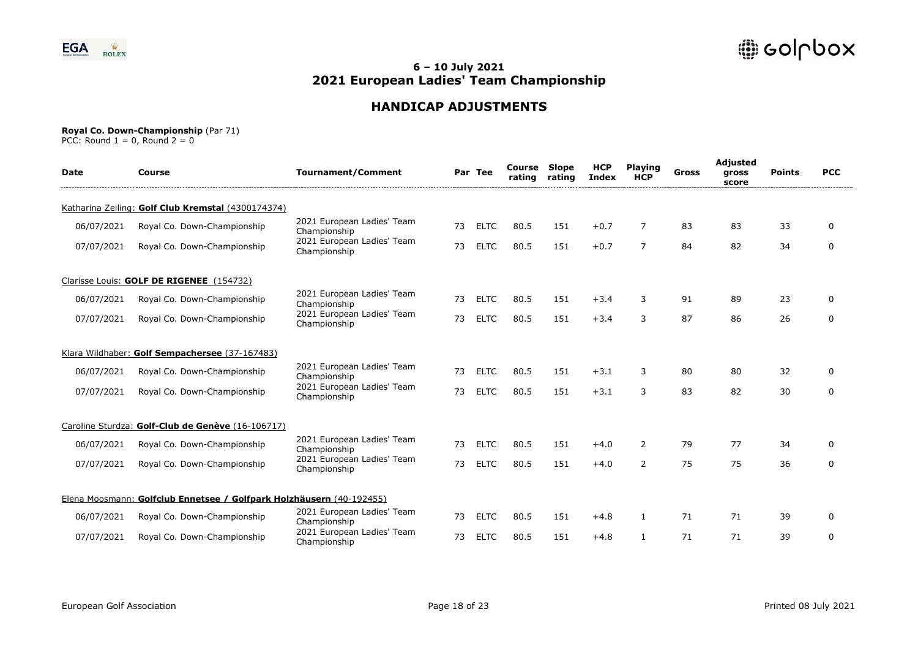

# **HANDICAP ADJUSTMENTS**

#### **Royal Co. Down-Championship** (Par 71)

| <b>Date</b> | Course                                                               | <b>Tournament/Comment</b>                  |    | Par Tee     | Course<br>rating | <b>Slope</b><br>rating | <b>HCP</b><br><b>Index</b> | <b>Playing</b><br><b>HCP</b> | Gross | Adjusted<br>gross<br>score | <b>Points</b> | <b>PCC</b>   |
|-------------|----------------------------------------------------------------------|--------------------------------------------|----|-------------|------------------|------------------------|----------------------------|------------------------------|-------|----------------------------|---------------|--------------|
|             | Katharina Zeiling: Golf Club Kremstal (4300174374)                   |                                            |    |             |                  |                        |                            |                              |       |                            |               |              |
| 06/07/2021  | Royal Co. Down-Championship                                          | 2021 European Ladies' Team<br>Championship | 73 | <b>ELTC</b> | 80.5             | 151                    | $+0.7$                     | 7                            | 83    | 83                         | 33            | $\Omega$     |
| 07/07/2021  | Royal Co. Down-Championship                                          | 2021 European Ladies' Team<br>Championship | 73 | <b>ELTC</b> | 80.5             | 151                    | $+0.7$                     | $\overline{7}$               | 84    | 82                         | 34            | $\Omega$     |
|             | Clarisse Louis: GOLF DE RIGENEE (154732)                             |                                            |    |             |                  |                        |                            |                              |       |                            |               |              |
| 06/07/2021  | Royal Co. Down-Championship                                          | 2021 European Ladies' Team<br>Championship | 73 | <b>ELTC</b> | 80.5             | 151                    | $+3.4$                     | 3                            | 91    | 89                         | 23            | 0            |
| 07/07/2021  | Royal Co. Down-Championship                                          | 2021 European Ladies' Team<br>Championship | 73 | <b>ELTC</b> | 80.5             | 151                    | $+3.4$                     | 3                            | 87    | 86                         | 26            | $\mathbf{0}$ |
|             | Klara Wildhaber: Golf Sempachersee (37-167483)                       |                                            |    |             |                  |                        |                            |                              |       |                            |               |              |
| 06/07/2021  | Royal Co. Down-Championship                                          | 2021 European Ladies' Team<br>Championship | 73 | <b>ELTC</b> | 80.5             | 151                    | $+3.1$                     | 3                            | 80    | 80                         | 32            | $\Omega$     |
| 07/07/2021  | Royal Co. Down-Championship                                          | 2021 European Ladies' Team<br>Championship | 73 | <b>ELTC</b> | 80.5             | 151                    | $+3.1$                     | 3                            | 83    | 82                         | 30            | $\Omega$     |
|             | Caroline Sturdza: Golf-Club de Genève (16-106717)                    |                                            |    |             |                  |                        |                            |                              |       |                            |               |              |
| 06/07/2021  | Royal Co. Down-Championship                                          | 2021 European Ladies' Team<br>Championship | 73 | <b>ELTC</b> | 80.5             | 151                    | $+4.0$                     | 2                            | 79    | 77                         | 34            | $\Omega$     |
| 07/07/2021  | Royal Co. Down-Championship                                          | 2021 European Ladies' Team<br>Championship | 73 | <b>ELTC</b> | 80.5             | 151                    | $+4.0$                     | $\overline{2}$               | 75    | 75                         | 36            | 0            |
|             | Elena Moosmann: Golfclub Ennetsee / Golfpark Holzhäusern (40-192455) |                                            |    |             |                  |                        |                            |                              |       |                            |               |              |
| 06/07/2021  | Royal Co. Down-Championship                                          | 2021 European Ladies' Team<br>Championship | 73 | <b>ELTC</b> | 80.5             | 151                    | $+4.8$                     | 1                            | 71    | 71                         | 39            | $\Omega$     |
| 07/07/2021  | Royal Co. Down-Championship                                          | 2021 European Ladies' Team<br>Championship | 73 | <b>ELTC</b> | 80.5             | 151                    | $+4.8$                     |                              | 71    | 71                         | 39            | 0            |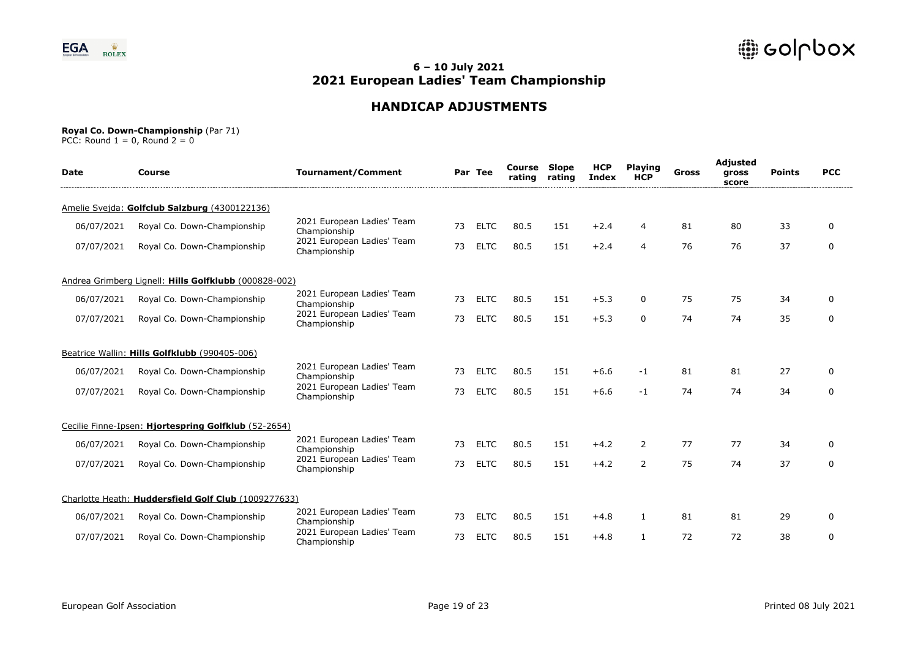

# **HANDICAP ADJUSTMENTS**

#### **Royal Co. Down-Championship** (Par 71)

| <b>Date</b> | Course                                                | <b>Tournament/Comment</b>                  |    | Par Tee     | Course<br>rating | Slope<br>rating | <b>HCP</b><br>Index | <b>Playing</b><br><b>HCP</b> | <b>Gross</b> | Adjusted<br>gross<br>score | <b>Points</b> | <b>PCC</b> |
|-------------|-------------------------------------------------------|--------------------------------------------|----|-------------|------------------|-----------------|---------------------|------------------------------|--------------|----------------------------|---------------|------------|
|             | Amelie Svejda: Golfclub Salzburg (4300122136)         |                                            |    |             |                  |                 |                     |                              |              |                            |               |            |
| 06/07/2021  | Royal Co. Down-Championship                           | 2021 European Ladies' Team<br>Championship | 73 | <b>ELTC</b> | 80.5             | 151             | $+2.4$              | 4                            | 81           | 80                         | 33            | 0          |
| 07/07/2021  | Royal Co. Down-Championship                           | 2021 European Ladies' Team<br>Championship | 73 | <b>ELTC</b> | 80.5             | 151             | $+2.4$              | $\overline{4}$               | 76           | 76                         | 37            | 0          |
|             | Andrea Grimberg Lignell: Hills Golfklubb (000828-002) |                                            |    |             |                  |                 |                     |                              |              |                            |               |            |
| 06/07/2021  | Royal Co. Down-Championship                           | 2021 European Ladies' Team<br>Championship | 73 | <b>ELTC</b> | 80.5             | 151             | $+5.3$              | 0                            | 75           | 75                         | 34            | 0          |
| 07/07/2021  | Royal Co. Down-Championship                           | 2021 European Ladies' Team<br>Championship | 73 | <b>ELTC</b> | 80.5             | 151             | $+5.3$              | $\Omega$                     | 74           | 74                         | 35            | 0          |
|             | Beatrice Wallin: Hills Golfklubb (990405-006)         |                                            |    |             |                  |                 |                     |                              |              |                            |               |            |
| 06/07/2021  | Royal Co. Down-Championship                           | 2021 European Ladies' Team<br>Championship | 73 | <b>ELTC</b> | 80.5             | 151             | $+6.6$              | -1                           | 81           | 81                         | 27            | 0          |
| 07/07/2021  | Royal Co. Down-Championship                           | 2021 European Ladies' Team<br>Championship | 73 | <b>ELTC</b> | 80.5             | 151             | $+6.6$              | $-1$                         | 74           | 74                         | 34            | 0          |
|             | Cecilie Finne-Ipsen: Hiortespring Golfklub (52-2654)  |                                            |    |             |                  |                 |                     |                              |              |                            |               |            |
| 06/07/2021  | Royal Co. Down-Championship                           | 2021 European Ladies' Team<br>Championship | 73 | <b>ELTC</b> | 80.5             | 151             | $+4.2$              | 2                            | 77           | 77                         | 34            | 0          |
| 07/07/2021  | Royal Co. Down-Championship                           | 2021 European Ladies' Team<br>Championship | 73 | <b>ELTC</b> | 80.5             | 151             | $+4.2$              | 2                            | 75           | 74                         | 37            | 0          |
|             | Charlotte Heath: Huddersfield Golf Club (1009277633)  |                                            |    |             |                  |                 |                     |                              |              |                            |               |            |
| 06/07/2021  | Royal Co. Down-Championship                           | 2021 European Ladies' Team<br>Championship | 73 | <b>ELTC</b> | 80.5             | 151             | $+4.8$              | $\mathbf{1}$                 | 81           | 81                         | 29            | 0          |
| 07/07/2021  | Royal Co. Down-Championship                           | 2021 European Ladies' Team<br>Championship | 73 | <b>ELTC</b> | 80.5             | 151             | $+4.8$              | $\mathbf{1}$                 | 72           | 72                         | 38            | 0          |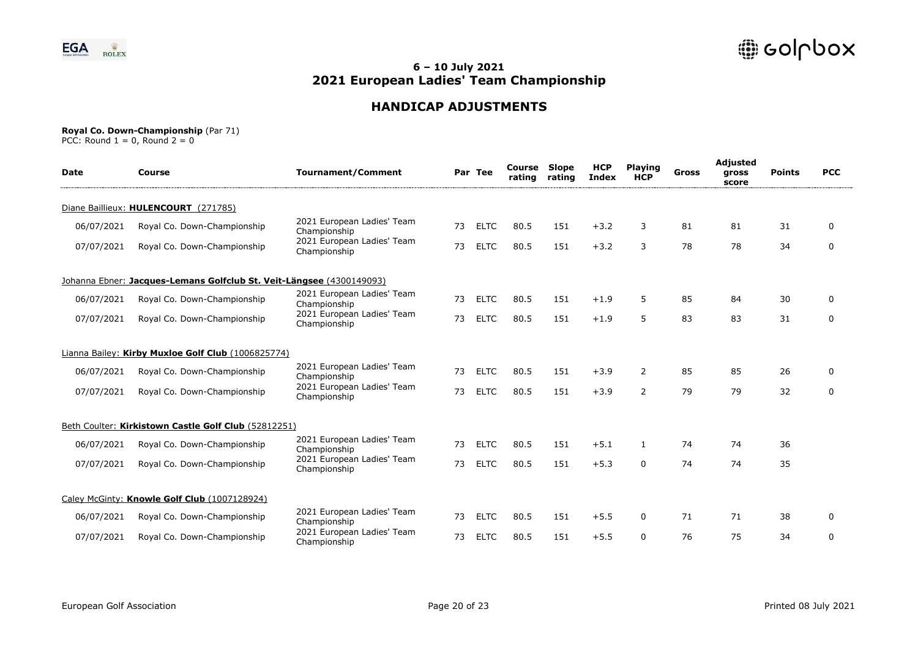

# **HANDICAP ADJUSTMENTS**

#### **Royal Co. Down-Championship** (Par 71)

| <b>Date</b> | Course                                                               | <b>Tournament/Comment</b>                  |    | Par Tee     | Course<br>rating | <b>Slope</b><br>rating | <b>HCP</b><br>Index | <b>Playing</b><br><b>HCP</b> | Gross | Adjusted<br>gross<br>score | <b>Points</b> | <b>PCC</b>   |
|-------------|----------------------------------------------------------------------|--------------------------------------------|----|-------------|------------------|------------------------|---------------------|------------------------------|-------|----------------------------|---------------|--------------|
|             | Diane Baillieux: HULENCOURT (271785)                                 |                                            |    |             |                  |                        |                     |                              |       |                            |               |              |
| 06/07/2021  | Royal Co. Down-Championship                                          | 2021 European Ladies' Team<br>Championship | 73 | <b>ELTC</b> | 80.5             | 151                    | $+3.2$              | 3                            | 81    | 81                         | 31            | $\mathbf{0}$ |
| 07/07/2021  | Royal Co. Down-Championship                                          | 2021 European Ladies' Team<br>Championship | 73 | <b>ELTC</b> | 80.5             | 151                    | $+3.2$              | 3                            | 78    | 78                         | 34            | $\mathbf 0$  |
|             | Johanna Ebner: Jacques-Lemans Golfclub St. Veit-Längsee (4300149093) |                                            |    |             |                  |                        |                     |                              |       |                            |               |              |
| 06/07/2021  | Royal Co. Down-Championship                                          | 2021 European Ladies' Team<br>Championship | 73 | <b>ELTC</b> | 80.5             | 151                    | $+1.9$              | 5                            | 85    | 84                         | 30            | 0            |
| 07/07/2021  | Royal Co. Down-Championship                                          | 2021 European Ladies' Team<br>Championship | 73 | <b>ELTC</b> | 80.5             | 151                    | $+1.9$              | 5                            | 83    | 83                         | 31            | 0            |
|             | Lianna Bailey: Kirby Muxloe Golf Club (1006825774)                   |                                            |    |             |                  |                        |                     |                              |       |                            |               |              |
| 06/07/2021  | Royal Co. Down-Championship                                          | 2021 European Ladies' Team<br>Championship | 73 | <b>ELTC</b> | 80.5             | 151                    | $+3.9$              | $\overline{2}$               | 85    | 85                         | 26            | 0            |
| 07/07/2021  | Royal Co. Down-Championship                                          | 2021 European Ladies' Team<br>Championship | 73 | <b>ELTC</b> | 80.5             | 151                    | $+3.9$              | $\overline{2}$               | 79    | 79                         | 32            | $\mathbf 0$  |
|             | Beth Coulter: Kirkistown Castle Golf Club (52812251)                 |                                            |    |             |                  |                        |                     |                              |       |                            |               |              |
| 06/07/2021  | Royal Co. Down-Championship                                          | 2021 European Ladies' Team<br>Championship | 73 | <b>ELTC</b> | 80.5             | 151                    | $+5.1$              | $\mathbf{1}$                 | 74    | 74                         | 36            |              |
| 07/07/2021  | Royal Co. Down-Championship                                          | 2021 European Ladies' Team<br>Championship | 73 | <b>ELTC</b> | 80.5             | 151                    | $+5.3$              | $\Omega$                     | 74    | 74                         | 35            |              |
|             | Caley McGinty: Knowle Golf Club (1007128924)                         |                                            |    |             |                  |                        |                     |                              |       |                            |               |              |
| 06/07/2021  | Royal Co. Down-Championship                                          | 2021 European Ladies' Team<br>Championship | 73 | <b>ELTC</b> | 80.5             | 151                    | $+5.5$              | 0                            | 71    | 71                         | 38            | 0            |
| 07/07/2021  | Royal Co. Down-Championship                                          | 2021 European Ladies' Team<br>Championship | 73 | <b>ELTC</b> | 80.5             | 151                    | $+5.5$              | $\Omega$                     | 76    | 75                         | 34            | $\mathbf 0$  |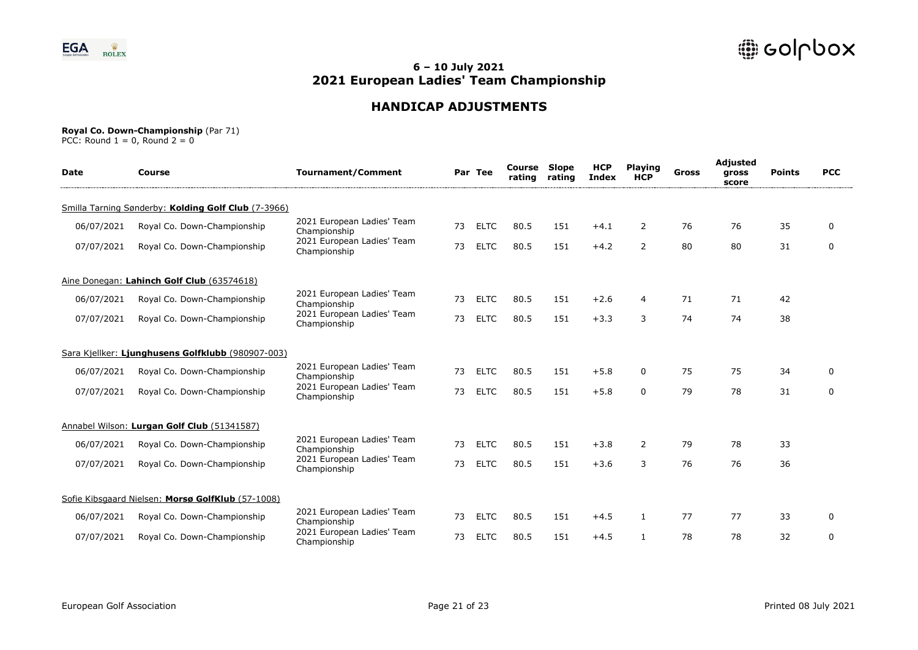

# **HANDICAP ADJUSTMENTS**

#### **Royal Co. Down-Championship** (Par 71)

| <b>Date</b> | Course                                              | <b>Tournament/Comment</b>                  |    | Par Tee     | Course<br>rating | <b>Slope</b><br>rating | <b>HCP</b><br><b>Index</b> | <b>Playing</b><br><b>HCP</b> | Gross | <b>Adjusted</b><br>gross<br>score | <b>Points</b> | <b>PCC</b>   |
|-------------|-----------------------------------------------------|--------------------------------------------|----|-------------|------------------|------------------------|----------------------------|------------------------------|-------|-----------------------------------|---------------|--------------|
|             | Smilla Tarning Sønderby: Kolding Golf Club (7-3966) |                                            |    |             |                  |                        |                            |                              |       |                                   |               |              |
| 06/07/2021  | Royal Co. Down-Championship                         | 2021 European Ladies' Team<br>Championship | 73 | <b>ELTC</b> | 80.5             | 151                    | $+4.1$                     | 2                            | 76    | 76                                | 35            | $\mathbf{0}$ |
| 07/07/2021  | Royal Co. Down-Championship                         | 2021 European Ladies' Team<br>Championship | 73 | <b>ELTC</b> | 80.5             | 151                    | $+4.2$                     | $\overline{2}$               | 80    | 80                                | 31            | $\mathbf 0$  |
|             | Aine Donegan: Lahinch Golf Club (63574618)          |                                            |    |             |                  |                        |                            |                              |       |                                   |               |              |
| 06/07/2021  | Royal Co. Down-Championship                         | 2021 European Ladies' Team<br>Championship | 73 | <b>ELTC</b> | 80.5             | 151                    | $+2.6$                     | 4                            | 71    | 71                                | 42            |              |
| 07/07/2021  | Royal Co. Down-Championship                         | 2021 European Ladies' Team<br>Championship | 73 | <b>ELTC</b> | 80.5             | 151                    | $+3.3$                     | 3                            | 74    | 74                                | 38            |              |
|             | Sara Kiellker: Liunghusens Golfklubb (980907-003)   |                                            |    |             |                  |                        |                            |                              |       |                                   |               |              |
| 06/07/2021  | Royal Co. Down-Championship                         | 2021 European Ladies' Team<br>Championship | 73 | <b>ELTC</b> | 80.5             | 151                    | $+5.8$                     | 0                            | 75    | 75                                | 34            | 0            |
| 07/07/2021  | Royal Co. Down-Championship                         | 2021 European Ladies' Team<br>Championship | 73 | <b>ELTC</b> | 80.5             | 151                    | $+5.8$                     | $\Omega$                     | 79    | 78                                | 31            | $\mathbf 0$  |
|             | Annabel Wilson: Lurgan Golf Club (51341587)         |                                            |    |             |                  |                        |                            |                              |       |                                   |               |              |
| 06/07/2021  | Royal Co. Down-Championship                         | 2021 European Ladies' Team<br>Championship | 73 | <b>ELTC</b> | 80.5             | 151                    | $+3.8$                     | $\overline{2}$               | 79    | 78                                | 33            |              |
| 07/07/2021  | Royal Co. Down-Championship                         | 2021 European Ladies' Team<br>Championship | 73 | <b>ELTC</b> | 80.5             | 151                    | $+3.6$                     | 3                            | 76    | 76                                | 36            |              |
|             | Sofie Kibsgaard Nielsen: Morsø GolfKlub (57-1008)   |                                            |    |             |                  |                        |                            |                              |       |                                   |               |              |
| 06/07/2021  | Royal Co. Down-Championship                         | 2021 European Ladies' Team<br>Championship | 73 | <b>ELTC</b> | 80.5             | 151                    | $+4.5$                     | $\mathbf{1}$                 | 77    | 77                                | 33            | 0            |
| 07/07/2021  | Royal Co. Down-Championship                         | 2021 European Ladies' Team<br>Championship | 73 | <b>ELTC</b> | 80.5             | 151                    | $+4.5$                     | $\mathbf{1}$                 | 78    | 78                                | 32            | $\mathbf 0$  |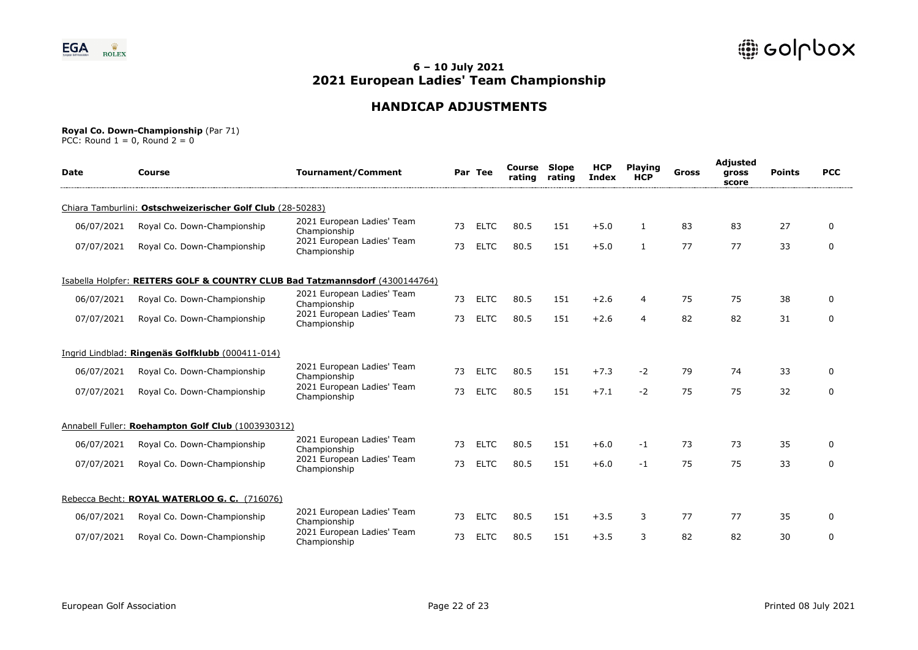

# **HANDICAP ADJUSTMENTS**

#### **Royal Co. Down-Championship** (Par 71)

| <b>Date</b> | Course                                                     | <b>Tournament/Comment</b>                                                    |    | Par Tee     | Course<br>rating | <b>Slope</b><br>rating | <b>HCP</b><br>Index | <b>Playing</b><br><b>HCP</b> | Gross | Adjusted<br>gross<br>score | <b>Points</b> | <b>PCC</b>   |
|-------------|------------------------------------------------------------|------------------------------------------------------------------------------|----|-------------|------------------|------------------------|---------------------|------------------------------|-------|----------------------------|---------------|--------------|
|             | Chiara Tamburlini: Ostschweizerischer Golf Club (28-50283) |                                                                              |    |             |                  |                        |                     |                              |       |                            |               |              |
| 06/07/2021  | Royal Co. Down-Championship                                | 2021 European Ladies' Team<br>Championship                                   | 73 | <b>ELTC</b> | 80.5             | 151                    | $+5.0$              | $\mathbf{1}$                 | 83    | 83                         | 27            | $\mathbf{0}$ |
| 07/07/2021  | Royal Co. Down-Championship                                | 2021 European Ladies' Team<br>Championship                                   | 73 | <b>ELTC</b> | 80.5             | 151                    | $+5.0$              | $\mathbf{1}$                 | 77    | 77                         | 33            | $\mathbf 0$  |
|             |                                                            | Isabella Holpfer: REITERS GOLF & COUNTRY CLUB Bad Tatzmannsdorf (4300144764) |    |             |                  |                        |                     |                              |       |                            |               |              |
| 06/07/2021  | Royal Co. Down-Championship                                | 2021 European Ladies' Team<br>Championship                                   | 73 | <b>ELTC</b> | 80.5             | 151                    | $+2.6$              | 4                            | 75    | 75                         | 38            | 0            |
| 07/07/2021  | Royal Co. Down-Championship                                | 2021 European Ladies' Team<br>Championship                                   | 73 | <b>ELTC</b> | 80.5             | 151                    | $+2.6$              | 4                            | 82    | 82                         | 31            | 0            |
|             | Ingrid Lindblad: Ringenäs Golfklubb (000411-014)           |                                                                              |    |             |                  |                        |                     |                              |       |                            |               |              |
| 06/07/2021  | Royal Co. Down-Championship                                | 2021 European Ladies' Team<br>Championship                                   | 73 | <b>ELTC</b> | 80.5             | 151                    | $+7.3$              | $-2$                         | 79    | 74                         | 33            | 0            |
| 07/07/2021  | Royal Co. Down-Championship                                | 2021 European Ladies' Team<br>Championship                                   | 73 | <b>ELTC</b> | 80.5             | 151                    | $+7.1$              | $-2$                         | 75    | 75                         | 32            | 0            |
|             | Annabell Fuller: Roehampton Golf Club (1003930312)         |                                                                              |    |             |                  |                        |                     |                              |       |                            |               |              |
| 06/07/2021  | Royal Co. Down-Championship                                | 2021 European Ladies' Team<br>Championship                                   | 73 | <b>ELTC</b> | 80.5             | 151                    | $+6.0$              | -1                           | 73    | 73                         | 35            | 0            |
| 07/07/2021  | Royal Co. Down-Championship                                | 2021 European Ladies' Team<br>Championship                                   | 73 | <b>ELTC</b> | 80.5             | 151                    | $+6.0$              | $-1$                         | 75    | 75                         | 33            | $\mathbf 0$  |
|             | Rebecca Becht: ROYAL WATERLOO G. C. (716076)               |                                                                              |    |             |                  |                        |                     |                              |       |                            |               |              |
| 06/07/2021  | Royal Co. Down-Championship                                | 2021 European Ladies' Team<br>Championship                                   | 73 | <b>ELTC</b> | 80.5             | 151                    | $+3.5$              | 3                            | 77    | 77                         | 35            | $\Omega$     |
| 07/07/2021  | Royal Co. Down-Championship                                | 2021 European Ladies' Team<br>Championship                                   | 73 | <b>ELTC</b> | 80.5             | 151                    | $+3.5$              | 3                            | 82    | 82                         | 30            | $\mathbf 0$  |